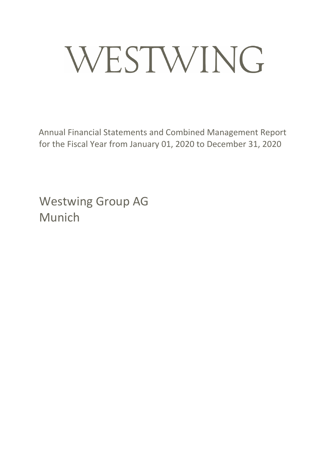# WESTWING

Annual Financial Statements and Combined Management Report for the Fiscal Year from January 01, 2020 to December 31, 2020

Westwing Group AG Munich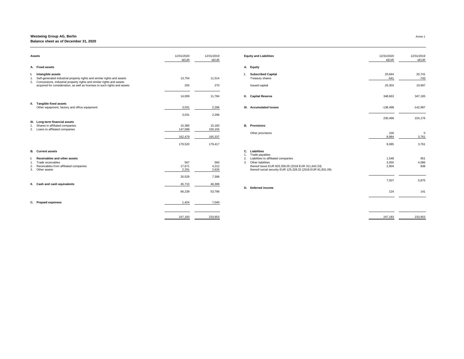| <b>Assets</b>                                                                                                                                         | 12/31/2020<br>kEUR | 12/31/2019<br><b>kEUR</b> | <b>Equity and Liabilities</b>                                                                                     | 12/31/2020<br>kEUR | 12/31/2019<br>kEUR    |
|-------------------------------------------------------------------------------------------------------------------------------------------------------|--------------------|---------------------------|-------------------------------------------------------------------------------------------------------------------|--------------------|-----------------------|
| A. Fixed assets                                                                                                                                       |                    |                           | A. Equity                                                                                                         |                    |                       |
| Intangible assets<br>Self-generated industrial property rights and similar rights and assets                                                          | 13,754             | 11,514                    | <b>Subscribed Capital</b><br>Treasury shares                                                                      | 20,844<br>$-541$   | 20,741<br>$-743$      |
| 2. Concessions, industrial property rights and similar rights and assets<br>acquired for consideration, as well as licenses to such rights and assets | 255                | 270                       | Issued capital                                                                                                    | 20,303             | 19,997                |
|                                                                                                                                                       | 14,009             | 11,784                    | <b>II.</b> Capital Reserve                                                                                        | 348,663            | 347,165               |
| II. Tangible fixed assets<br>Other equipment, factory and office equipment                                                                            | 3,031              | 2,296                     | III. Accumulated losses                                                                                           | -138,498           | $-142,987$            |
|                                                                                                                                                       | 3,031              | 2,296                     |                                                                                                                   | 230,468            | 224,176               |
| III. Long-term financial assets<br>Shares in affiliated companies<br>2. Loans to affiliated companies                                                 | 15,380<br>147,099  | 15,183<br>150,155         | <b>B.</b> Provisions                                                                                              |                    |                       |
|                                                                                                                                                       | 162,479            | 165,337                   | Other provisions                                                                                                  | 100<br>8,984       | $\mathsf{C}$<br>3,761 |
|                                                                                                                                                       | 179,520            | 179,417                   |                                                                                                                   | 9,085              | 3,761                 |
| <b>B.</b> Current assets                                                                                                                              |                    |                           | C. Liabilities<br>Trade payables                                                                                  |                    |                       |
| <b>Receivables and other assets</b>                                                                                                                   |                    |                           | Liabilities to affiliated companies<br>2.                                                                         | 1,548              | 951                   |
| Trade receivables                                                                                                                                     | 567                | 560                       | Other liabilities<br>3.                                                                                           | 3,055              | 4,086                 |
| Receivables from affiliated companies<br>2.<br>3. Other assets                                                                                        | 17,671<br>2,291    | 4,212<br>2,626            | thereof taxes EUR 603,358.05 (2018 EUR 311,642.53)<br>thereof social security EUR 125,328.32 (2018 EUR 81,831.09) | 2,904              | 838                   |
|                                                                                                                                                       | 20,529             | 7,398                     |                                                                                                                   | 7,507              | 5,875                 |
| II. Cash and cash equivalents                                                                                                                         | 45,710             | 46,399                    |                                                                                                                   |                    |                       |
|                                                                                                                                                       | 66,239             | 53,796                    | D. Deferred income                                                                                                | 124                | 141                   |
| C. Prepaid expenses                                                                                                                                   | 1,424              | 7,040                     |                                                                                                                   |                    |                       |
|                                                                                                                                                       | 247,183            | 233,953                   |                                                                                                                   | 247,183            | 233,953               |
|                                                                                                                                                       |                    |                           |                                                                                                                   |                    |                       |

| 31/2020<br><b>kEUR</b> | 12/31/2019<br><b>kEUR</b> | <b>Equity and Liabilities</b>                                                                                                                                                                                                                 | 12/31/2020<br>kEUR      | 12/31/2019<br>kEUR   |
|------------------------|---------------------------|-----------------------------------------------------------------------------------------------------------------------------------------------------------------------------------------------------------------------------------------------|-------------------------|----------------------|
|                        |                           | <b>Equity</b><br>А.                                                                                                                                                                                                                           |                         |                      |
| 13,754                 | 11,514                    | <b>Subscribed Capital</b><br>L.<br>Treasury shares                                                                                                                                                                                            | 20,844<br>$-541$        | 20,741<br>$-743$     |
| 255                    | 270                       | Issued capital                                                                                                                                                                                                                                | 20,303                  | 19,997               |
| 14,009                 | 11,784                    | <b>Capital Reserve</b><br>П.                                                                                                                                                                                                                  | 348,663                 | 347,165              |
| 3,031                  | 2,296                     | <b>Accumulated losses</b><br>Ш.                                                                                                                                                                                                               | $-138,498$              | $-142,987$           |
| 3,031                  | 2,296                     |                                                                                                                                                                                                                                               | 230,468                 | 224,176              |
| 15,380<br>147,099      | 15,183<br>150,155         | <b>B.</b> Provisions                                                                                                                                                                                                                          |                         |                      |
| 162,479                | 165,337                   | Other provisions                                                                                                                                                                                                                              | 100<br>8,984            | $\mathbf 0$<br>3,761 |
| 179,520                | 179,417                   |                                                                                                                                                                                                                                               | 9,085                   | 3,761                |
| 567<br>17,671<br>2,291 | 560<br>4,212<br>2,626     | <b>Liabilities</b><br>C.<br>Trade payables<br>1.<br>Liabilities to affiliated companies<br>2.<br>Other liabilities<br>3.<br>thereof taxes EUR 603,358.05 (2018 EUR 311,642.53)<br>thereof social security EUR 125,328.32 (2018 EUR 81,831.09) | 1,548<br>3,055<br>2,904 | 951<br>4,086<br>838  |
| 20,529                 | 7,398                     |                                                                                                                                                                                                                                               | 7,507                   | 5,875                |
| 45,710                 | 46,399                    | Deferred income<br>D.                                                                                                                                                                                                                         |                         |                      |
| 66,239                 | 53,796                    |                                                                                                                                                                                                                                               | 124                     | 141                  |
| 1,424                  | 7,040                     |                                                                                                                                                                                                                                               |                         |                      |
| 247,183                | 233,953                   |                                                                                                                                                                                                                                               | 247,183                 | 233,953              |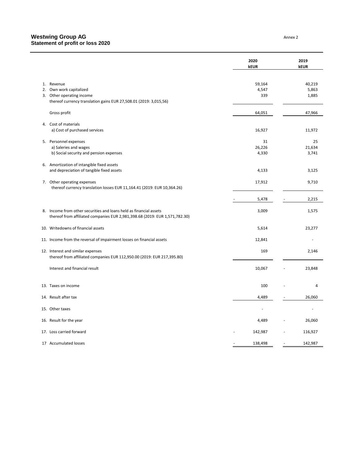|     |                                                                                                                                                | 2020<br><b>kEUR</b>                 |                          | 2019<br>kEUR |
|-----|------------------------------------------------------------------------------------------------------------------------------------------------|-------------------------------------|--------------------------|--------------|
| 1.  | Revenue                                                                                                                                        | 59,164                              |                          | 40,219       |
| 2.  | Own work capitalized                                                                                                                           | 4,547                               |                          | 5,863        |
| 3.  | Other operating income                                                                                                                         | 339                                 |                          | 1,885        |
|     | thereof currency translation gains EUR 27,508.01 (2019: 3,015,56)                                                                              |                                     |                          |              |
|     | Gross profit                                                                                                                                   | 64,051                              |                          | 47,966       |
|     | 4. Cost of materials                                                                                                                           |                                     |                          |              |
|     | a) Cost of purchased services                                                                                                                  | 16,927                              |                          | 11,972       |
|     | 5. Personnel expenses                                                                                                                          | 31                                  |                          | 25           |
|     | a) Saleries and wages                                                                                                                          | 26,226                              |                          | 21,634       |
|     | b) Social security and pension expenses                                                                                                        | 4,330                               |                          | 3,741        |
| 6.  | Amortization of intangible fixed assets                                                                                                        |                                     |                          |              |
|     | and depreciation of tangible fixed assets                                                                                                      | 4,133                               |                          | 3,125        |
|     | 7. Other operating expenses                                                                                                                    | 17,912                              |                          | 9,710        |
|     | thereof currency translation losses EUR 11,164.41 (2019: EUR 10,364.26)                                                                        |                                     |                          |              |
|     |                                                                                                                                                | 5,478                               |                          | 2,215        |
| 8.  | Income from other securities and loans held as financial assets<br>thereof from affiliated companies EUR 2,981,398.68 (2019: EUR 1,571,782.30) | 3,009                               |                          | 1,575        |
| 10. | Writedowns of financial assets                                                                                                                 | 5,614                               |                          | 23,277       |
|     | 11. Income from the reversal of impairment losses on financial assets                                                                          | 12,841                              |                          |              |
|     | 12. Interest and similar expenses<br>thereof from affiliated companies EUR 112,950.00 (2019: EUR 217,395.80)                                   | 169                                 |                          | 2,146        |
|     | Interest and financial result                                                                                                                  | 10,067                              |                          | 23,848       |
|     | 13. Taxes on income                                                                                                                            | 100                                 |                          | 4            |
|     | 14. Result after tax                                                                                                                           | 4,489                               |                          | 26,060       |
|     | 15. Other taxes                                                                                                                                |                                     |                          |              |
|     | 16. Result for the year                                                                                                                        | 4,489                               |                          | 26,060       |
|     |                                                                                                                                                |                                     |                          |              |
|     | 17. Loss carried forward                                                                                                                       | 142,987                             | $\overline{\phantom{a}}$ | 116,927      |
|     | 17 Accumulated losses                                                                                                                          | 138,498<br>$\overline{\phantom{a}}$ | $\overline{\phantom{a}}$ | 142,987      |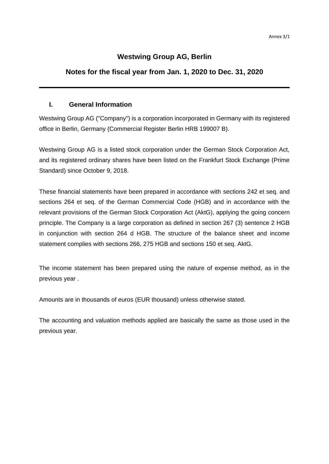#### **Westwing Group AG, Berlin**

#### **Notes for the fiscal year from Jan. 1, 2020 to Dec. 31, 2020**

#### **I. General Information**

Westwing Group AG ("Company") is a corporation incorporated in Germany with its registered office in Berlin, Germany (Commercial Register Berlin HRB 199007 B).

Westwing Group AG is a listed stock corporation under the German Stock Corporation Act, and its registered ordinary shares have been listed on the Frankfurt Stock Exchange (Prime Standard) since October 9, 2018.

These financial statements have been prepared in accordance with sections 242 et seq. and sections 264 et seq. of the German Commercial Code (HGB) and in accordance with the relevant provisions of the German Stock Corporation Act (AktG), applying the going concern principle. The Company is a large corporation as defined in section 267 (3) sentence 2 HGB in conjunction with section 264 d HGB. The structure of the balance sheet and income statement complies with sections 266, 275 HGB and sections 150 et seq. AktG.

The income statement has been prepared using the nature of expense method, as in the previous year .

Amounts are in thousands of euros (EUR thousand) unless otherwise stated.

The accounting and valuation methods applied are basically the same as those used in the previous year.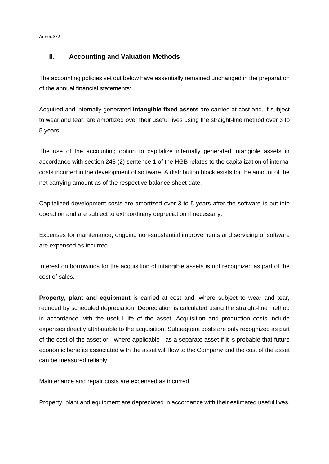Annex 3/2

#### **II. Accounting and Valuation Methods**

The accounting policies set out below have essentially remained unchanged in the preparation of the annual financial statements:

Acquired and internally generated **intangible fixed assets** are carried at cost and, if subject to wear and tear, are amortized over their useful lives using the straight-line method over 3 to 5 years.

The use of the accounting option to capitalize internally generated intangible assets in accordance with section 248 (2) sentence 1 of the HGB relates to the capitalization of internal costs incurred in the development of software. A distribution block exists for the amount of the net carrying amount as of the respective balance sheet date.

Capitalized development costs are amortized over 3 to 5 years after the software is put into operation and are subject to extraordinary depreciation if necessary.

Expenses for maintenance, ongoing non-substantial improvements and servicing of software are expensed as incurred.

Interest on borrowings for the acquisition of intangible assets is not recognized as part of the cost of sales.

**Property, plant and equipment** is carried at cost and, where subject to wear and tear, reduced by scheduled depreciation. Depreciation is calculated using the straight-line method in accordance with the useful life of the asset. Acquisition and production costs include expenses directly attributable to the acquisition. Subsequent costs are only recognized as part of the cost of the asset or - where applicable - as a separate asset if it is probable that future economic benefits associated with the asset will flow to the Company and the cost of the asset can be measured reliably.

Maintenance and repair costs are expensed as incurred.

Property, plant and equipment are depreciated in accordance with their estimated useful lives.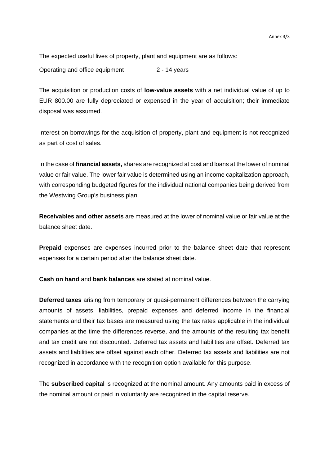The expected useful lives of property, plant and equipment are as follows:

Operating and office equipment 2 - 14 years

The acquisition or production costs of **low-value assets** with a net individual value of up to EUR 800.00 are fully depreciated or expensed in the year of acquisition; their immediate disposal was assumed.

Interest on borrowings for the acquisition of property, plant and equipment is not recognized as part of cost of sales.

In the case of **financial assets,** shares are recognized at cost and loans at the lower of nominal value or fair value. The lower fair value is determined using an income capitalization approach, with corresponding budgeted figures for the individual national companies being derived from the Westwing Group's business plan.

**Receivables and other assets** are measured at the lower of nominal value or fair value at the balance sheet date.

**Prepaid** expenses are expenses incurred prior to the balance sheet date that represent expenses for a certain period after the balance sheet date.

**Cash on hand** and **bank balances** are stated at nominal value.

**Deferred taxes** arising from temporary or quasi-permanent differences between the carrying amounts of assets, liabilities, prepaid expenses and deferred income in the financial statements and their tax bases are measured using the tax rates applicable in the individual companies at the time the differences reverse, and the amounts of the resulting tax benefit and tax credit are not discounted. Deferred tax assets and liabilities are offset. Deferred tax assets and liabilities are offset against each other. Deferred tax assets and liabilities are not recognized in accordance with the recognition option available for this purpose.

The **subscribed capital** is recognized at the nominal amount. Any amounts paid in excess of the nominal amount or paid in voluntarily are recognized in the capital reserve.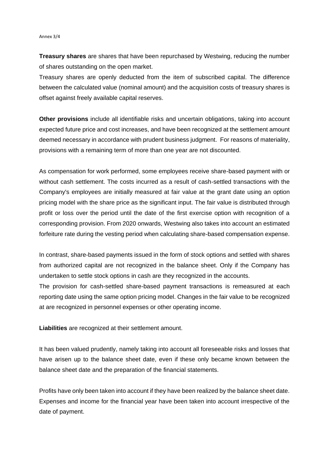#### Annex 3/4

**Treasury shares** are shares that have been repurchased by Westwing, reducing the number of shares outstanding on the open market.

Treasury shares are openly deducted from the item of subscribed capital. The difference between the calculated value (nominal amount) and the acquisition costs of treasury shares is offset against freely available capital reserves.

**Other provisions** include all identifiable risks and uncertain obligations, taking into account expected future price and cost increases, and have been recognized at the settlement amount deemed necessary in accordance with prudent business judgment. For reasons of materiality, provisions with a remaining term of more than one year are not discounted.

As compensation for work performed, some employees receive share-based payment with or without cash settlement. The costs incurred as a result of cash-settled transactions with the Company's employees are initially measured at fair value at the grant date using an option pricing model with the share price as the significant input. The fair value is distributed through profit or loss over the period until the date of the first exercise option with recognition of a corresponding provision. From 2020 onwards, Westwing also takes into account an estimated forfeiture rate during the vesting period when calculating share-based compensation expense.

In contrast, share-based payments issued in the form of stock options and settled with shares from authorized capital are not recognized in the balance sheet. Only if the Company has undertaken to settle stock options in cash are they recognized in the accounts.

The provision for cash-settled share-based payment transactions is remeasured at each reporting date using the same option pricing model. Changes in the fair value to be recognized at are recognized in personnel expenses or other operating income.

**Liabilities** are recognized at their settlement amount.

It has been valued prudently, namely taking into account all foreseeable risks and losses that have arisen up to the balance sheet date, even if these only became known between the balance sheet date and the preparation of the financial statements.

Profits have only been taken into account if they have been realized by the balance sheet date. Expenses and income for the financial year have been taken into account irrespective of the date of payment.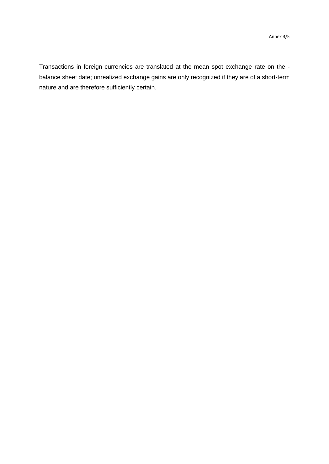Transactions in foreign currencies are translated at the mean spot exchange rate on the balance sheet date; unrealized exchange gains are only recognized if they are of a short-term nature and are therefore sufficiently certain.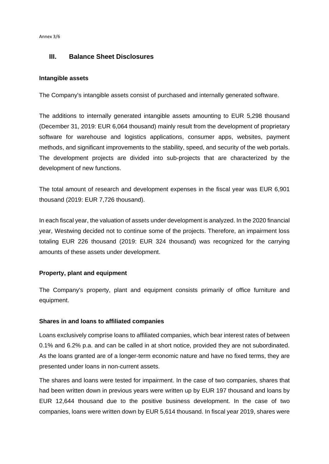Annex 3/6

#### **III. Balance Sheet Disclosures**

#### **Intangible assets**

The Company's intangible assets consist of purchased and internally generated software.

The additions to internally generated intangible assets amounting to EUR 5,298 thousand (December 31, 2019: EUR 6,064 thousand) mainly result from the development of proprietary software for warehouse and logistics applications, consumer apps, websites, payment methods, and significant improvements to the stability, speed, and security of the web portals. The development projects are divided into sub-projects that are characterized by the development of new functions.

The total amount of research and development expenses in the fiscal year was EUR 6,901 thousand (2019: EUR 7,726 thousand).

In each fiscal year, the valuation of assets under development is analyzed. In the 2020 financial year, Westwing decided not to continue some of the projects. Therefore, an impairment loss totaling EUR 226 thousand (2019: EUR 324 thousand) was recognized for the carrying amounts of these assets under development.

#### **Property, plant and equipment**

The Company's property, plant and equipment consists primarily of office furniture and equipment.

#### **Shares in and loans to affiliated companies**

Loans exclusively comprise loans to affiliated companies, which bear interest rates of between 0.1% and 6.2% p.a. and can be called in at short notice, provided they are not subordinated. As the loans granted are of a longer-term economic nature and have no fixed terms, they are presented under loans in non-current assets.

The shares and loans were tested for impairment. In the case of two companies, shares that had been written down in previous years were written up by EUR 197 thousand and loans by EUR 12,644 thousand due to the positive business development. In the case of two companies, loans were written down by EUR 5,614 thousand. In fiscal year 2019, shares were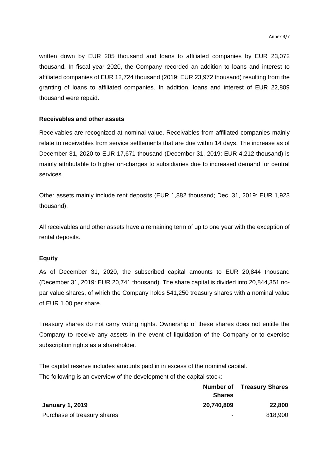written down by EUR 205 thousand and loans to affiliated companies by EUR 23,072 thousand. In fiscal year 2020, the Company recorded an addition to loans and interest to affiliated companies of EUR 12,724 thousand (2019: EUR 23,972 thousand) resulting from the granting of loans to affiliated companies. In addition, loans and interest of EUR 22,809 thousand were repaid.

#### **Receivables and other assets**

Receivables are recognized at nominal value. Receivables from affiliated companies mainly relate to receivables from service settlements that are due within 14 days. The increase as of December 31, 2020 to EUR 17,671 thousand (December 31, 2019: EUR 4,212 thousand) is mainly attributable to higher on-charges to subsidiaries due to increased demand for central services.

Other assets mainly include rent deposits (EUR 1,882 thousand; Dec. 31, 2019: EUR 1,923 thousand).

All receivables and other assets have a remaining term of up to one year with the exception of rental deposits.

#### **Equity**

As of December 31, 2020, the subscribed capital amounts to EUR 20,844 thousand (December 31, 2019: EUR 20,741 thousand). The share capital is divided into 20,844,351 nopar value shares, of which the Company holds 541,250 treasury shares with a nominal value of EUR 1.00 per share.

Treasury shares do not carry voting rights. Ownership of these shares does not entitle the Company to receive any assets in the event of liquidation of the Company or to exercise subscription rights as a shareholder.

The capital reserve includes amounts paid in in excess of the nominal capital. The following is an overview of the development of the capital stock:

|                             | <b>Shares</b> | <b>Number of Treasury Shares</b> |  |
|-----------------------------|---------------|----------------------------------|--|
| <b>January 1, 2019</b>      | 20,740,809    | 22,800                           |  |
| Purchase of treasury shares | $\,$          | 818,900                          |  |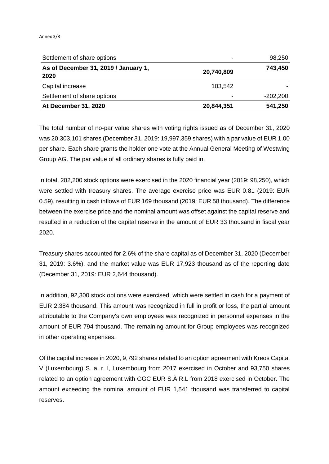#### Annex 3/8

| Settlement of share options                  | -          | 98,250     |
|----------------------------------------------|------------|------------|
| As of December 31, 2019 / January 1,<br>2020 | 20,740,809 | 743,450    |
| Capital increase                             | 103,542    |            |
| Settlement of share options                  | -          | $-202,200$ |
| At December 31, 2020                         | 20,844,351 | 541,250    |

The total number of no-par value shares with voting rights issued as of December 31, 2020 was 20,303,101 shares (December 31, 2019: 19,997,359 shares) with a par value of EUR 1.00 per share. Each share grants the holder one vote at the Annual General Meeting of Westwing Group AG. The par value of all ordinary shares is fully paid in.

In total, 202,200 stock options were exercised in the 2020 financial year (2019: 98,250), which were settled with treasury shares. The average exercise price was EUR 0.81 (2019: EUR 0.59), resulting in cash inflows of EUR 169 thousand (2019: EUR 58 thousand). The difference between the exercise price and the nominal amount was offset against the capital reserve and resulted in a reduction of the capital reserve in the amount of EUR 33 thousand in fiscal year 2020.

Treasury shares accounted for 2.6% of the share capital as of December 31, 2020 (December 31, 2019: 3.6%), and the market value was EUR 17,923 thousand as of the reporting date (December 31, 2019: EUR 2,644 thousand).

In addition, 92,300 stock options were exercised, which were settled in cash for a payment of EUR 2,384 thousand. This amount was recognized in full in profit or loss, the partial amount attributable to the Company's own employees was recognized in personnel expenses in the amount of EUR 794 thousand. The remaining amount for Group employees was recognized in other operating expenses.

Of the capital increase in 2020, 9,792 shares related to an option agreement with Kreos Capital V (Luxembourg) S. a. r. l, Luxembourg from 2017 exercised in October and 93,750 shares related to an option agreement with GGC EUR S.À.R.L from 2018 exercised in October. The amount exceeding the nominal amount of EUR 1,541 thousand was transferred to capital reserves.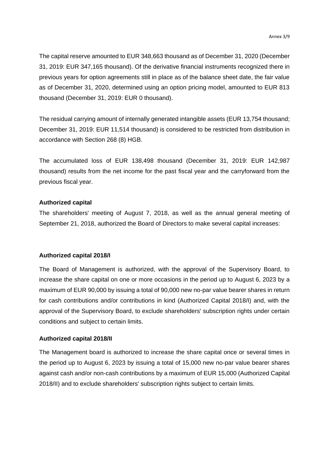The capital reserve amounted to EUR 348,663 thousand as of December 31, 2020 (December 31, 2019: EUR 347,165 thousand). Of the derivative financial instruments recognized there in previous years for option agreements still in place as of the balance sheet date, the fair value as of December 31, 2020, determined using an option pricing model, amounted to EUR 813 thousand (December 31, 2019: EUR 0 thousand).

The residual carrying amount of internally generated intangible assets (EUR 13,754 thousand; December 31, 2019: EUR 11,514 thousand) is considered to be restricted from distribution in accordance with Section 268 (8) HGB.

The accumulated loss of EUR 138,498 thousand (December 31, 2019: EUR 142,987 thousand) results from the net income for the past fiscal year and the carryforward from the previous fiscal year.

#### **Authorized capital**

The shareholders' meeting of August 7, 2018, as well as the annual general meeting of September 21, 2018, authorized the Board of Directors to make several capital increases:

#### **Authorized capital 2018/I**

The Board of Management is authorized, with the approval of the Supervisory Board, to increase the share capital on one or more occasions in the period up to August 6, 2023 by a maximum of EUR 90,000 by issuing a total of 90,000 new no-par value bearer shares in return for cash contributions and/or contributions in kind (Authorized Capital 2018/I) and, with the approval of the Supervisory Board, to exclude shareholders' subscription rights under certain conditions and subject to certain limits.

#### **Authorized capital 2018/II**

The Management board is authorized to increase the share capital once or several times in the period up to August 6, 2023 by issuing a total of 15,000 new no-par value bearer shares against cash and/or non-cash contributions by a maximum of EUR 15,000 (Authorized Capital 2018/II) and to exclude shareholders' subscription rights subject to certain limits.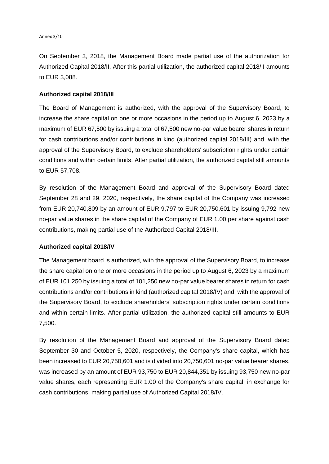On September 3, 2018, the Management Board made partial use of the authorization for Authorized Capital 2018/II. After this partial utilization, the authorized capital 2018/II amounts to EUR 3,088.

#### **Authorized capital 2018/III**

The Board of Management is authorized, with the approval of the Supervisory Board, to increase the share capital on one or more occasions in the period up to August 6, 2023 by a maximum of EUR 67,500 by issuing a total of 67,500 new no-par value bearer shares in return for cash contributions and/or contributions in kind (authorized capital 2018/III) and, with the approval of the Supervisory Board, to exclude shareholders' subscription rights under certain conditions and within certain limits. After partial utilization, the authorized capital still amounts to EUR 57,708.

By resolution of the Management Board and approval of the Supervisory Board dated September 28 and 29, 2020, respectively, the share capital of the Company was increased from EUR 20,740,809 by an amount of EUR 9,797 to EUR 20,750,601 by issuing 9,792 new no-par value shares in the share capital of the Company of EUR 1.00 per share against cash contributions, making partial use of the Authorized Capital 2018/III.

#### **Authorized capital 2018/IV**

The Management board is authorized, with the approval of the Supervisory Board, to increase the share capital on one or more occasions in the period up to August 6, 2023 by a maximum of EUR 101,250 by issuing a total of 101,250 new no-par value bearer shares in return for cash contributions and/or contributions in kind (authorized capital 2018/IV) and, with the approval of the Supervisory Board, to exclude shareholders' subscription rights under certain conditions and within certain limits. After partial utilization, the authorized capital still amounts to EUR 7,500.

By resolution of the Management Board and approval of the Supervisory Board dated September 30 and October 5, 2020, respectively, the Company's share capital, which has been increased to EUR 20,750,601 and is divided into 20,750,601 no-par value bearer shares, was increased by an amount of EUR 93,750 to EUR 20,844,351 by issuing 93,750 new no-par value shares, each representing EUR 1.00 of the Company's share capital, in exchange for cash contributions, making partial use of Authorized Capital 2018/IV.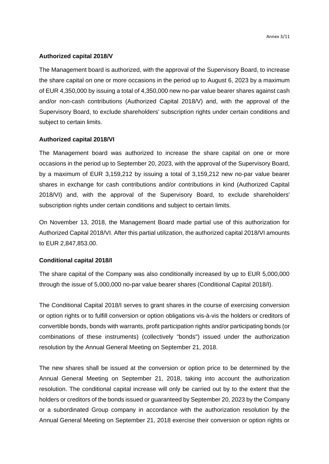#### **Authorized capital 2018/V**

The Management board is authorized, with the approval of the Supervisory Board, to increase the share capital on one or more occasions in the period up to August 6, 2023 by a maximum of EUR 4,350,000 by issuing a total of 4,350,000 new no-par value bearer shares against cash and/or non-cash contributions (Authorized Capital 2018/V) and, with the approval of the Supervisory Board, to exclude shareholders' subscription rights under certain conditions and subject to certain limits.

#### **Authorized capital 2018/VI**

The Management board was authorized to increase the share capital on one or more occasions in the period up to September 20, 2023, with the approval of the Supervisory Board, by a maximum of EUR 3,159,212 by issuing a total of 3,159,212 new no-par value bearer shares in exchange for cash contributions and/or contributions in kind (Authorized Capital 2018/VI) and, with the approval of the Supervisory Board, to exclude shareholders' subscription rights under certain conditions and subject to certain limits.

On November 13, 2018, the Management Board made partial use of this authorization for Authorized Capital 2018/VI. After this partial utilization, the authorized capital 2018/VI amounts to EUR 2,847,853.00.

#### **Conditional capital 2018/I**

The share capital of the Company was also conditionally increased by up to EUR 5,000,000 through the issue of 5,000,000 no-par value bearer shares (Conditional Capital 2018/I).

The Conditional Capital 2018/I serves to grant shares in the course of exercising conversion or option rights or to fulfill conversion or option obligations vis-à-vis the holders or creditors of convertible bonds, bonds with warrants, profit participation rights and/or participating bonds (or combinations of these instruments) (collectively "bonds") issued under the authorization resolution by the Annual General Meeting on September 21, 2018.

The new shares shall be issued at the conversion or option price to be determined by the Annual General Meeting on September 21, 2018, taking into account the authorization resolution. The conditional capital increase will only be carried out by to the extent that the holders or creditors of the bonds issued or guaranteed by September 20, 2023 by the Company or a subordinated Group company in accordance with the authorization resolution by the Annual General Meeting on September 21, 2018 exercise their conversion or option rights or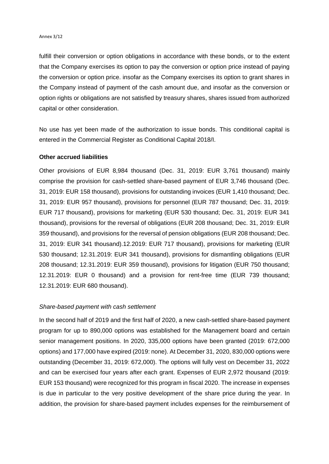fulfill their conversion or option obligations in accordance with these bonds, or to the extent that the Company exercises its option to pay the conversion or option price instead of paying the conversion or option price. insofar as the Company exercises its option to grant shares in the Company instead of payment of the cash amount due, and insofar as the conversion or option rights or obligations are not satisfied by treasury shares, shares issued from authorized capital or other consideration.

No use has yet been made of the authorization to issue bonds. This conditional capital is entered in the Commercial Register as Conditional Capital 2018/I.

#### **Other accrued liabilities**

Other provisions of EUR 8,984 thousand (Dec. 31, 2019: EUR 3,761 thousand) mainly comprise the provision for cash-settled share-based payment of EUR 3,746 thousand (Dec. 31, 2019: EUR 158 thousand), provisions for outstanding invoices (EUR 1,410 thousand; Dec. 31, 2019: EUR 957 thousand), provisions for personnel (EUR 787 thousand; Dec. 31, 2019: EUR 717 thousand), provisions for marketing (EUR 530 thousand; Dec. 31, 2019: EUR 341 thousand), provisions for the reversal of obligations (EUR 208 thousand; Dec. 31, 2019: EUR 359 thousand), and provisions for the reversal of pension obligations (EUR 208 thousand; Dec. 31, 2019: EUR 341 thousand).12.2019: EUR 717 thousand), provisions for marketing (EUR 530 thousand; 12.31.2019: EUR 341 thousand), provisions for dismantling obligations (EUR 208 thousand; 12.31.2019: EUR 359 thousand), provisions for litigation (EUR 750 thousand; 12.31.2019: EUR 0 thousand) and a provision for rent-free time (EUR 739 thousand; 12.31.2019: EUR 680 thousand).

#### *Share-based payment with cash settlement*

In the second half of 2019 and the first half of 2020, a new cash-settled share-based payment program for up to 890,000 options was established for the Management board and certain senior management positions. In 2020, 335,000 options have been granted (2019: 672,000 options) and 177,000 have expired (2019: none). At December 31, 2020, 830,000 options were outstanding (December 31, 2019: 672,000). The options will fully vest on December 31, 2022 and can be exercised four years after each grant. Expenses of EUR 2,972 thousand (2019: EUR 153 thousand) were recognized for this program in fiscal 2020. The increase in expenses is due in particular to the very positive development of the share price during the year. In addition, the provision for share-based payment includes expenses for the reimbursement of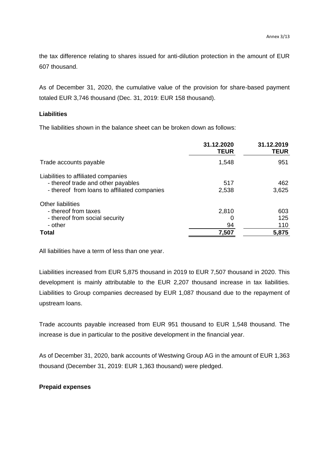the tax difference relating to shares issued for anti-dilution protection in the amount of EUR 607 thousand.

As of December 31, 2020, the cumulative value of the provision for share-based payment totaled EUR 3,746 thousand (Dec. 31, 2019: EUR 158 thousand).

#### **Liabilities**

The liabilities shown in the balance sheet can be broken down as follows:

|                                                                                                                           | 31.12.2020<br><b>TEUR</b> | 31.12.2019<br><b>TEUR</b>  |
|---------------------------------------------------------------------------------------------------------------------------|---------------------------|----------------------------|
| Trade accounts payable                                                                                                    | 1,548                     | 951                        |
| Liabilities to affiliated companies<br>- thereof trade and other payables<br>- thereof from loans to affiliated companies | 517<br>2,538              | 462<br>3,625               |
| <b>Other liabilities</b><br>- thereof from taxes<br>- thereof from social security<br>- other<br>Total                    | 2,810<br>94<br>7,507      | 603<br>125<br>110<br>5,875 |

All liabilities have a term of less than one year.

Liabilities increased from EUR 5,875 thousand in 2019 to EUR 7,507 thousand in 2020. This development is mainly attributable to the EUR 2,207 thousand increase in tax liabilities. Liabilities to Group companies decreased by EUR 1,087 thousand due to the repayment of upstream loans.

Trade accounts payable increased from EUR 951 thousand to EUR 1,548 thousand. The increase is due in particular to the positive development in the financial year.

As of December 31, 2020, bank accounts of Westwing Group AG in the amount of EUR 1,363 thousand (December 31, 2019: EUR 1,363 thousand) were pledged.

#### **Prepaid expenses**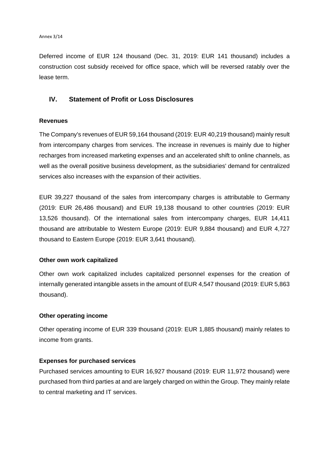Deferred income of EUR 124 thousand (Dec. 31, 2019: EUR 141 thousand) includes a construction cost subsidy received for office space, which will be reversed ratably over the lease term.

#### **IV. Statement of Profit or Loss Disclosures**

#### **Revenues**

The Company's revenues of EUR 59,164 thousand (2019: EUR 40,219 thousand) mainly result from intercompany charges from services. The increase in revenues is mainly due to higher recharges from increased marketing expenses and an accelerated shift to online channels, as well as the overall positive business development, as the subsidiaries' demand for centralized services also increases with the expansion of their activities.

EUR 39,227 thousand of the sales from intercompany charges is attributable to Germany (2019: EUR 26,486 thousand) and EUR 19,138 thousand to other countries (2019: EUR 13,526 thousand). Of the international sales from intercompany charges, EUR 14,411 thousand are attributable to Western Europe (2019: EUR 9,884 thousand) and EUR 4,727 thousand to Eastern Europe (2019: EUR 3,641 thousand).

#### **Other own work capitalized**

Other own work capitalized includes capitalized personnel expenses for the creation of internally generated intangible assets in the amount of EUR 4,547 thousand (2019: EUR 5,863 thousand).

#### **Other operating income**

Other operating income of EUR 339 thousand (2019: EUR 1,885 thousand) mainly relates to income from grants.

#### **Expenses for purchased services**

Purchased services amounting to EUR 16,927 thousand (2019: EUR 11,972 thousand) were purchased from third parties at and are largely charged on within the Group. They mainly relate to central marketing and IT services.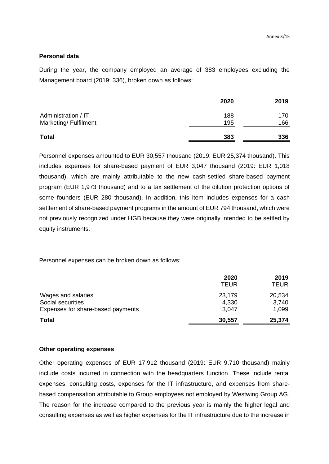#### **Personal data**

During the year, the company employed an average of 383 employees excluding the Management board (2019: 336), broken down as follows:

|                       | 2020 | 2019 |
|-----------------------|------|------|
| Administration / IT   | 188  | 170  |
| Marketing/ Fulfilment | 195  | 166  |
| <b>Total</b>          | 383  | 336  |

Personnel expenses amounted to EUR 30,557 thousand (2019: EUR 25,374 thousand). This includes expenses for share-based payment of EUR 3,047 thousand (2019: EUR 1,018 thousand), which are mainly attributable to the new cash-settled share-based payment program (EUR 1,973 thousand) and to a tax settlement of the dilution protection options of some founders (EUR 280 thousand). In addition, this item includes expenses for a cash settlement of share-based payment programs in the amount of EUR 794 thousand, which were not previously recognized under HGB because they were originally intended to be settled by equity instruments.

Personnel expenses can be broken down as follows:

|                                   | 2020<br><b>TEUR</b> | 2019<br><b>TEUR</b> |
|-----------------------------------|---------------------|---------------------|
| Wages and salaries                | 23,179              | 20,534              |
| Social securities                 | 4,330               | 3,740               |
| Expenses for share-based payments | 3,047               | 1,099               |
| <b>Total</b>                      | 30,557              | 25,374              |

#### **Other operating expenses**

Other operating expenses of EUR 17,912 thousand (2019: EUR 9,710 thousand) mainly include costs incurred in connection with the headquarters function. These include rental expenses, consulting costs, expenses for the IT infrastructure, and expenses from sharebased compensation attributable to Group employees not employed by Westwing Group AG. The reason for the increase compared to the previous year is mainly the higher legal and consulting expenses as well as higher expenses for the IT infrastructure due to the increase in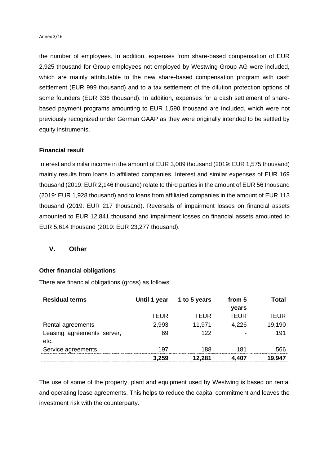the number of employees. In addition, expenses from share-based compensation of EUR 2,925 thousand for Group employees not employed by Westwing Group AG were included, which are mainly attributable to the new share-based compensation program with cash settlement (EUR 999 thousand) and to a tax settlement of the dilution protection options of some founders (EUR 336 thousand). In addition, expenses for a cash settlement of sharebased payment programs amounting to EUR 1,590 thousand are included, which were not previously recognized under German GAAP as they were originally intended to be settled by equity instruments.

#### **Financial result**

Interest and similar income in the amount of EUR 3,009 thousand (2019: EUR 1,575 thousand) mainly results from loans to affiliated companies. Interest and similar expenses of EUR 169 thousand (2019: EUR 2,146 thousand) relate to third parties in the amount of EUR 56 thousand (2019: EUR 1,928 thousand) and to loans from affiliated companies in the amount of EUR 113 thousand (2019: EUR 217 thousand). Reversals of impairment losses on financial assets amounted to EUR 12,841 thousand and impairment losses on financial assets amounted to EUR 5,614 thousand (2019: EUR 23,277 thousand).

#### **V. Other**

#### **Other financial obligations**

There are financial obligations (gross) as follows:

|       |        | from 5                    | Total  |
|-------|--------|---------------------------|--------|
|       |        |                           |        |
| TEUR  | TFUR   | TFUR                      | TFUR   |
| 2,993 | 11,971 | 4.226                     | 19,190 |
| 69    | 122    |                           | 191    |
| 197   | 188    | 181                       | 566    |
| 3.259 | 12.281 | 4.407                     | 19.947 |
|       |        | Until 1 year 1 to 5 years | years  |

The use of some of the property, plant and equipment used by Westwing is based on rental and operating lease agreements. This helps to reduce the capital commitment and leaves the investment risk with the counterparty.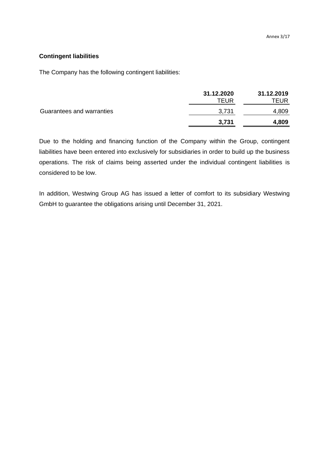#### **Contingent liabilities**

The Company has the following contingent liabilities:

|                           | 31.12.2020 | 31.12.2019 |
|---------------------------|------------|------------|
|                           | TEUR       | TEUR       |
| Guarantees and warranties | 3,731      | 4,809      |
|                           | 3,731      | 4,809      |

Due to the holding and financing function of the Company within the Group, contingent liabilities have been entered into exclusively for subsidiaries in order to build up the business operations. The risk of claims being asserted under the individual contingent liabilities is considered to be low.

In addition, Westwing Group AG has issued a letter of comfort to its subsidiary Westwing GmbH to guarantee the obligations arising until December 31, 2021.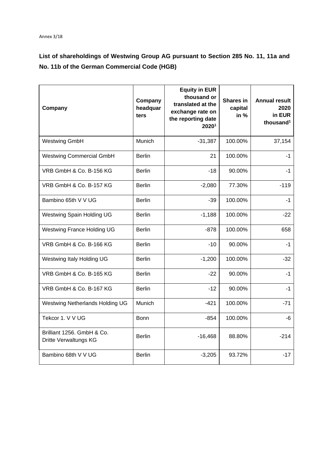### **List of shareholdings of Westwing Group AG pursuant to Section 285 No. 11, 11a and No. 11b of the German Commercial Code (HGB)**

| Company                                             | Company<br>headquar<br>ters | <b>Equity in EUR</b><br>thousand or<br>translated at the<br>exchange rate on<br>the reporting date<br><b>2020</b> <sup>1</sup> | <b>Shares in</b><br>capital<br>in % | <b>Annual result</b><br>2020<br>in EUR<br>thousand <sup>1</sup> |
|-----------------------------------------------------|-----------------------------|--------------------------------------------------------------------------------------------------------------------------------|-------------------------------------|-----------------------------------------------------------------|
| <b>Westwing GmbH</b>                                | Munich                      | $-31,387$                                                                                                                      | 100.00%                             | 37,154                                                          |
| <b>Westwing Commercial GmbH</b>                     | <b>Berlin</b>               | 21                                                                                                                             | 100.00%                             | $-1$                                                            |
| VRB GmbH & Co. B-156 KG                             | <b>Berlin</b>               | $-18$                                                                                                                          | 90.00%                              | $-1$                                                            |
| VRB GmbH & Co. B-157 KG                             | <b>Berlin</b>               | $-2,080$                                                                                                                       | 77.30%                              | $-119$                                                          |
| Bambino 65th V V UG                                 | <b>Berlin</b>               | $-39$                                                                                                                          | 100.00%                             | $-1$                                                            |
| Westwing Spain Holding UG                           | <b>Berlin</b>               | $-1,188$                                                                                                                       | 100.00%                             | $-22$                                                           |
| <b>Westwing France Holding UG</b>                   | <b>Berlin</b>               | $-878$                                                                                                                         | 100.00%                             | 658                                                             |
| VRB GmbH & Co. B-166 KG                             | <b>Berlin</b>               | $-10$                                                                                                                          | 90.00%                              | $-1$                                                            |
| Westwing Italy Holding UG                           | <b>Berlin</b>               | $-1,200$                                                                                                                       | 100.00%                             | $-32$                                                           |
| VRB GmbH & Co. B-165 KG                             | <b>Berlin</b>               | $-22$                                                                                                                          | 90.00%                              | $-1$                                                            |
| VRB GmbH & Co. B-167 KG                             | <b>Berlin</b>               | $-12$                                                                                                                          | 90.00%                              | $-1$                                                            |
| Westwing Netherlands Holding UG                     | Munich                      | $-421$                                                                                                                         | 100.00%                             | $-71$                                                           |
| Tekcor 1. V V UG                                    | <b>Bonn</b>                 | -854                                                                                                                           | 100.00%                             | -6                                                              |
| Brilliant 1256. GmbH & Co.<br>Dritte Verwaltungs KG | <b>Berlin</b>               | $-16,468$                                                                                                                      | 88.80%                              | $-214$                                                          |
| Bambino 68th V V UG                                 | <b>Berlin</b>               | $-3,205$                                                                                                                       | 93.72%                              | $-17$                                                           |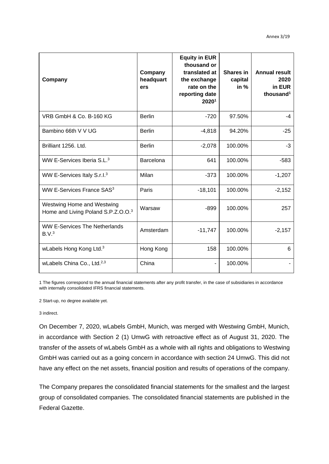| Company                                                          | Company<br>headquart<br>ers | <b>Equity in EUR</b><br>thousand or<br>translated at<br>the exchange<br>rate on the<br>reporting date<br>20201 | Shares in<br>capital<br>in $%$ | <b>Annual result</b><br>2020<br>in EUR<br>thousand <sup>1</sup> |
|------------------------------------------------------------------|-----------------------------|----------------------------------------------------------------------------------------------------------------|--------------------------------|-----------------------------------------------------------------|
| VRB GmbH & Co. B-160 KG                                          | <b>Berlin</b>               | $-720$                                                                                                         | 97.50%                         | $-4$                                                            |
| Bambino 66th V V UG                                              | <b>Berlin</b>               | $-4,818$                                                                                                       | 94.20%                         | $-25$                                                           |
| Brilliant 1256. Ltd.                                             | <b>Berlin</b>               | $-2,078$                                                                                                       | 100.00%                        | $-3$                                                            |
| WW E-Services Iberia S.L. <sup>3</sup>                           | Barcelona                   | 641                                                                                                            | 100.00%                        | $-583$                                                          |
| WW E-Services Italy S.r.I. <sup>3</sup>                          | Milan                       | $-373$                                                                                                         | 100.00%                        | $-1,207$                                                        |
| WW E-Services France SAS <sup>3</sup>                            | Paris                       | $-18,101$                                                                                                      | 100.00%                        | $-2,152$                                                        |
| Westwing Home and Westwing<br>Home and Living Poland S.P.Z.O.O.3 | Warsaw                      | $-899$                                                                                                         | 100.00%                        | 257                                                             |
| <b>WW E-Services The Netherlands</b><br>B.V. <sup>3</sup>        | Amsterdam                   | $-11,747$                                                                                                      | 100.00%                        | $-2,157$                                                        |
| wLabels Hong Kong Ltd. <sup>3</sup>                              | Hong Kong                   | 158                                                                                                            | 100.00%                        | 6                                                               |
| wLabels China Co., Ltd. <sup>2,3</sup>                           | China                       |                                                                                                                | 100.00%                        |                                                                 |

1 The figures correspond to the annual financial statements after any profit transfer, in the case of subsidiaries in accordance with internally consolidated IFRS financial statements.

2 Start-up, no degree available yet.

3 indirect.

On December 7, 2020, wLabels GmbH, Munich, was merged with Westwing GmbH, Munich, in accordance with Section 2 (1) UmwG with retroactive effect as of August 31, 2020. The transfer of the assets of wLabels GmbH as a whole with all rights and obligations to Westwing GmbH was carried out as a going concern in accordance with section 24 UmwG. This did not have any effect on the net assets, financial position and results of operations of the company.

The Company prepares the consolidated financial statements for the smallest and the largest group of consolidated companies. The consolidated financial statements are published in the Federal Gazette.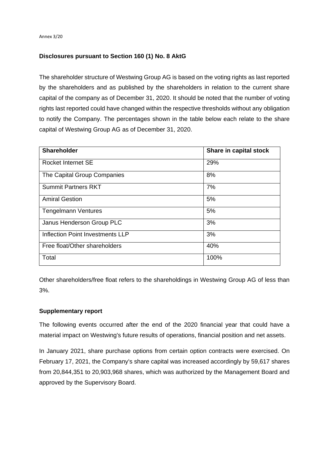#### **Disclosures pursuant to Section 160 (1) No. 8 AktG**

The shareholder structure of Westwing Group AG is based on the voting rights as last reported by the shareholders and as published by the shareholders in relation to the current share capital of the company as of December 31, 2020. It should be noted that the number of voting rights last reported could have changed within the respective thresholds without any obligation to notify the Company. The percentages shown in the table below each relate to the share capital of Westwing Group AG as of December 31, 2020.

| <b>Shareholder</b>               | Share in capital stock |
|----------------------------------|------------------------|
| Rocket Internet SE               | 29%                    |
| The Capital Group Companies      | 8%                     |
| <b>Summit Partners RKT</b>       | 7%                     |
| <b>Amiral Gestion</b>            | 5%                     |
| <b>Tengelmann Ventures</b>       | 5%                     |
| Janus Henderson Group PLC        | 3%                     |
| Inflection Point Investments LLP | 3%                     |
| Free float/Other shareholders    | 40%                    |
| Total                            | 100%                   |

Other shareholders/free float refers to the shareholdings in Westwing Group AG of less than 3%.

#### **Supplementary report**

The following events occurred after the end of the 2020 financial year that could have a material impact on Westwing's future results of operations, financial position and net assets.

In January 2021, share purchase options from certain option contracts were exercised. On February 17, 2021, the Company's share capital was increased accordingly by 59,617 shares from 20,844,351 to 20,903,968 shares, which was authorized by the Management Board and approved by the Supervisory Board.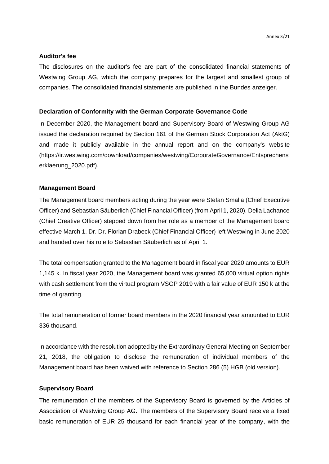#### **Auditor's fee**

The disclosures on the auditor's fee are part of the consolidated financial statements of Westwing Group AG, which the company prepares for the largest and smallest group of companies. The consolidated financial statements are published in the Bundes anzeiger.

#### **Declaration of Conformity with the German Corporate Governance Code**

In December 2020, the Management board and Supervisory Board of Westwing Group AG issued the declaration required by Section 161 of the German Stock Corporation Act (AktG) and made it publicly available in the annual report and on the company's website (https://ir.westwing.com/download/companies/westwing/CorporateGovernance/Entsprechens erklaerung\_2020.pdf).

#### **Management Board**

The Management board members acting during the year were Stefan Smalla (Chief Executive Officer) and Sebastian Säuberlich (Chief Financial Officer) (from April 1, 2020). Delia Lachance (Chief Creative Officer) stepped down from her role as a member of the Management board effective March 1. Dr. Dr. Florian Drabeck (Chief Financial Officer) left Westwing in June 2020 and handed over his role to Sebastian Säuberlich as of April 1.

The total compensation granted to the Management board in fiscal year 2020 amounts to EUR 1,145 k. In fiscal year 2020, the Management board was granted 65,000 virtual option rights with cash settlement from the virtual program VSOP 2019 with a fair value of EUR 150 k at the time of granting.

The total remuneration of former board members in the 2020 financial year amounted to EUR 336 thousand.

In accordance with the resolution adopted by the Extraordinary General Meeting on September 21, 2018, the obligation to disclose the remuneration of individual members of the Management board has been waived with reference to Section 286 (5) HGB (old version).

#### **Supervisory Board**

The remuneration of the members of the Supervisory Board is governed by the Articles of Association of Westwing Group AG. The members of the Supervisory Board receive a fixed basic remuneration of EUR 25 thousand for each financial year of the company, with the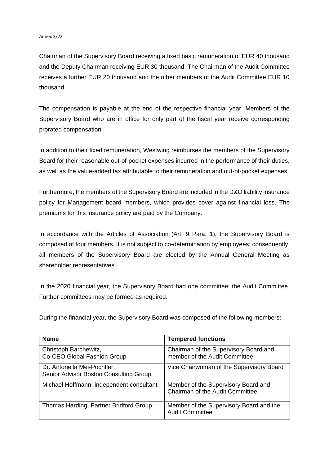#### Annex 3/22

Chairman of the Supervisory Board receiving a fixed basic remuneration of EUR 40 thousand and the Deputy Chairman receiving EUR 30 thousand. The Chairman of the Audit Committee receives a further EUR 20 thousand and the other members of the Audit Committee EUR 10 thousand.

The compensation is payable at the end of the respective financial year. Members of the Supervisory Board who are in office for only part of the fiscal year receive corresponding prorated compensation.

In addition to their fixed remuneration, Westwing reimburses the members of the Supervisory Board for their reasonable out-of-pocket expenses incurred in the performance of their duties, as well as the value-added tax attributable to their remuneration and out-of-pocket expenses.

Furthermore, the members of the Supervisory Board are included in the D&O liability insurance policy for Management board members, which provides cover against financial loss. The premiums for this insurance policy are paid by the Company.

In accordance with the Articles of Association (Art. 9 Para. 1), the Supervisory Board is composed of four members. It is not subject to co-determination by employees; consequently, all members of the Supervisory Board are elected by the Annual General Meeting as shareholder representatives.

In the 2020 financial year, the Supervisory Board had one committee: the Audit Committee. Further committees may be formed as required.

During the financial year, the Supervisory Board was composed of the following members:

| <b>Name</b>                                                           | <b>Tempered functions</b>                                              |
|-----------------------------------------------------------------------|------------------------------------------------------------------------|
| Christoph Barchewitz,<br>Co-CEO Global Fashion Group                  | Chairman of the Supervisory Board and<br>member of the Audit Committee |
| Dr. Antonella Mei-Pochtler,<br>Senior Advisor Boston Consulting Group | Vice Chairwoman of the Supervisory Board                               |
| Michael Hoffmann, independent consultant                              | Member of the Supervisory Board and<br>Chairman of the Audit Committee |
| Thomas Harding, Partner Bridford Group                                | Member of the Supervisory Board and the<br><b>Audit Committee</b>      |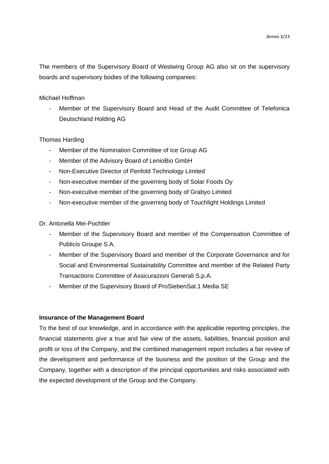The members of the Supervisory Board of Westwing Group AG also sit on the supervisory boards and supervisory bodies of the following companies:

#### Michael Hoffman

Member of the Supervisory Board and Head of the Audit Committee of Telefonica Deutschland Holding AG

#### Thomas Harding

- Member of the Nomination Committee of Ice Group AG
- Member of the Advisory Board of LenioBio GmbH
- Non-Executive Director of Penfold Technology Limited
- Non-executive member of the governing body of Solar Foods Oy
- Non-executive member of the governing body of Grabyo Limited
- Non-executive member of the governing body of Touchlight Holdings Limited

Dr. Antonella Mei-Pochtler

- Member of the Supervisory Board and member of the Compensation Committee of Publicis Groupe S.A.
- Member of the Supervisory Board and member of the Corporate Governance and for Social and Environmental Sustainability Committee and member of the Related Party Transactions Committee of Assicurazioni Generali S.p.A.
- Member of the Supervisory Board of ProSiebenSat.1 Media SE

#### **Insurance of the Management Board**

To the best of our knowledge, and in accordance with the applicable reporting principles, the financial statements give a true and fair view of the assets, liabilities, financial position and profit or loss of the Company, and the combined management report includes a fair review of the development and performance of the business and the position of the Group and the Company, together with a description of the principal opportunities and risks associated with the expected development of the Group and the Company.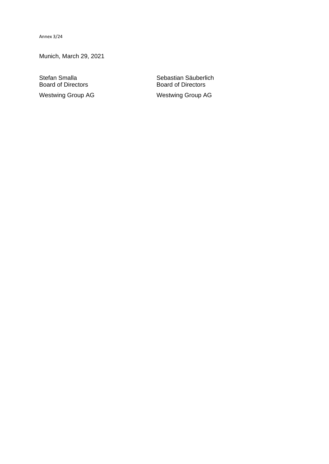Annex 3/24

Munich, March 29, 2021

**Board of Directors** 

Stefan Smalla<br>
Board of Directors<br>
Sebastian Säuberlich<br>
Board of Directors Westwing Group AG Westwing Group AG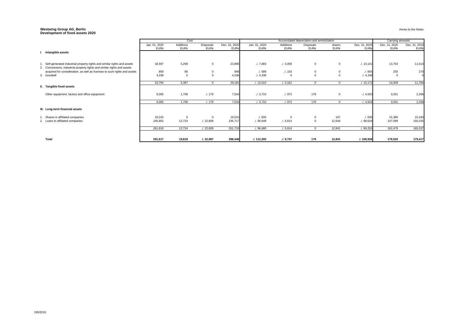#### **Westwing Group AG, Berlin Development of fixed assets 2020**

|                                                                                                                                                     |               | Cost           |                |               |               |             | Accumulated depreciation and amoirtization |                |               | Carrying amounts |               |
|-----------------------------------------------------------------------------------------------------------------------------------------------------|---------------|----------------|----------------|---------------|---------------|-------------|--------------------------------------------|----------------|---------------|------------------|---------------|
|                                                                                                                                                     | Jan. 01, 2020 | Additions      | Disposals      | Dec. 31, 2020 | Jan. 01, 2020 | Additions   | Disposals                                  | downs          | Dec. 31, 2020 | Dec. 31, 2020    | Dec. 31, 2019 |
|                                                                                                                                                     | <b>EURk</b>   | <b>EURK</b>    | <b>EURk</b>    | <b>EURK</b>   | <b>EURK</b>   | <b>EURK</b> | <b>EURK</b>                                | <b>EURK</b>    | <b>EURk</b>   | <b>EURK</b>      | <b>EURK</b>   |
| <b>Intangible assets</b>                                                                                                                            |               |                |                |               |               |             |                                            |                |               |                  |               |
| Self-generated industrial property rights and similar rights and assets<br>2. Concessions, industrial property rights and similar rights and assets | 18,597        | 5,298          | $\overline{0}$ | 23,896        | .7,083        | .7.3,058    | $\overline{0}$                             | $\overline{0}$ | . / 10,141    | 13,754           | 11,514        |
| acquired for consideration, as well as licenses to such rights and assets                                                                           | 859           | 88             |                | 948           | .1.589        | 1.103       |                                            |                | .7693         | 255              | 270           |
| 3. Goodwill                                                                                                                                         | 4,338         | $\overline{0}$ | $\Omega$       | 4,338         | .4,338        | - റ         | $\Omega$                                   | $\overline{0}$ | .4,338        | $\Omega$         |               |
|                                                                                                                                                     | 23,794        | 5,387          | $\Omega$       | 29,181        | .12,010       | 1.3,161     | $\Omega$                                   | $\overline{0}$ | .15,172       | 14,009           | 11,784        |
| II. Tangible fixed assets                                                                                                                           |               |                |                |               |               |             |                                            |                |               |                  |               |
| Other equipment, factory and office equipment                                                                                                       | 6,005         | 1,708          | .179           | 7,534         | .1.3,710      | .1.972      | 179                                        | $\mathbf 0$    | .4,503        | 3,031            | 2,296         |
|                                                                                                                                                     | 6,005         | 1,708          | .179           | 7,534         | 1.3,710       | .1.972      | 179                                        | $\overline{0}$ | .4,503        | 3,031            | 2,296         |
| III. Long-term financial assets                                                                                                                     |               |                |                |               |               |             |                                            |                |               |                  |               |
| Shares in affiliated companies                                                                                                                      | 16,015        | $\overline{0}$ |                | 16,015        | 1.833         | $\Omega$    | $\overline{0}$                             | 197            | . / 635       | 15,380           | 15,183        |
| 2. Loans to affiliated companies                                                                                                                    | 245,802       | 12,724         | .1.22,809      | 235,717       | . / 95,648    | .1.5,614    | $\overline{0}$                             | 12,644         | . / 88,618    | 147,099          | 150,155       |
|                                                                                                                                                     | 261,818       | 12,724         | .4.22,809      | 251,733       | . / 96,480    | .1.5,614    | $\overline{0}$                             | 12,841         | . / 89,253    | 162,479          | 165,337       |
| <b>Total</b>                                                                                                                                        | 291,617       | 19,818         | .1.22,987      | 288,448       | .112,200      | J.9,747     | 179                                        | 12,841         | .1.108,928    | 179,520          | 179,417       |

Annex to the Notes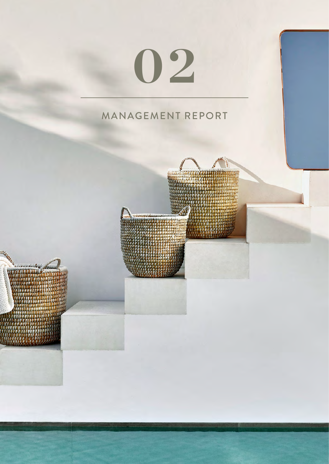# **02**

## MANAGEMENT REPORT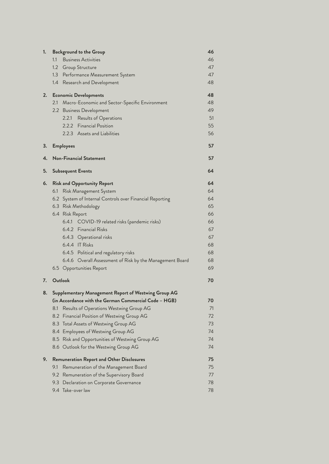| 1. | <b>Background to the Group</b>                                                                 | 46       |
|----|------------------------------------------------------------------------------------------------|----------|
|    | 1.1<br><b>Business Activities</b>                                                              | 46       |
|    | 1.2 Group Structure                                                                            | 47       |
|    | 1.3 Performance Measurement System                                                             | 47       |
|    | 1.4 Research and Development                                                                   | 48       |
| 2. | <b>Economic Developments</b>                                                                   | 48       |
|    | 2.1<br>Macro-Economic and Sector-Specific Environment                                          | 48       |
|    | 2.2 Business Development                                                                       | 49       |
|    | Results of Operations<br>2.2.1                                                                 | 51       |
|    | 2.2.2 Financial Position                                                                       | 55       |
|    | 2.2.3 Assets and Liabilities                                                                   | 56       |
| 3. | <b>Employees</b>                                                                               | 57       |
| 4. | <b>Non-Financial Statement</b>                                                                 | 57       |
| 5. | <b>Subsequent Events</b>                                                                       | 64       |
| 6. | <b>Risk and Opportunity Report</b>                                                             | 64       |
|    | 6.1<br>Risk Management System                                                                  | 64       |
|    | 6.2 System of Internal Controls over Financial Reporting                                       | 64       |
|    | 6.3 Risk Methodology                                                                           | 65       |
|    | 6.4 Risk Report                                                                                | 66       |
|    | 6.4.1<br>COVID-19 related risks (pandemic risks)                                               | 66       |
|    | 6.4.2 Financial Risks                                                                          | 67       |
|    | 6.4.3 Operational risks                                                                        | 67       |
|    | 6.4.4 IT Risks                                                                                 | 68       |
|    | 6.4.5 Political and regulatory risks                                                           | 68       |
|    | 6.4.6 Overall Assessment of Risk by the Management Board                                       | 68       |
|    | 6.5 Opportunities Report                                                                       | 69       |
| 7. | Outlook                                                                                        | 70       |
| 8. | Supplementary Management Report of Westwing Group AG                                           |          |
|    | (in Accordance with the German Commercial Code – HGB)                                          | 70       |
|    | Results of Operations Westwing Group AG<br>8.1                                                 | 71       |
|    | Financial Position of Westwing Group AG<br>8.2                                                 | 72       |
|    | Total Assets of Westwing Group AG<br>8.3                                                       | 73<br>74 |
|    | 8.4 Employees of Westwing Group AG                                                             | 74       |
|    | Risk and Opportunities of Westwing Group AG<br>8.5<br>Outlook for the Westwing Group AG<br>8.6 | 74       |
| 9. | <b>Remuneration Report and Other Disclosures</b>                                               | 75       |
|    | 9.1<br>Remuneration of the Management Board                                                    | 75       |
|    | Remuneration of the Supervisory Board<br>9.2                                                   | 77       |
|    | 9.3<br>Declaration on Corporate Governance                                                     | 78       |
|    | 9.4 Take-over law                                                                              | 78       |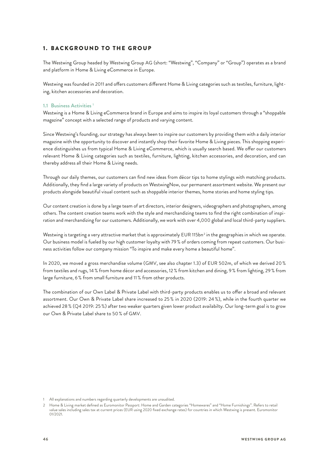#### <span id="page-30-0"></span>1. BACKGROUND TO THE GROUP

The Westwing Group headed by Westwing Group AG (short: "Westwing", "Company" or "Group") operates as a brand and platform in Home & Living eCommerce in Europe.

Westwing was founded in 2011 and offers customers different Home & Living categories such as textiles, furniture, lighting, kitchen accessories and decoration.

#### **1.1 Business Activities 1**

Westwing is a Home & Living eCommerce brand in Europe and aims to inspire its loyal customers through a "shoppable magazine" concept with a selected range of products and varying content.

Since Westwing's founding, our strategy has always been to inspire our customers by providing them with a daily interior magazine with the opportunity to discover and instantly shop their favorite Home & Living pieces. This shopping experience distinguishes us from typical Home & Living eCommerce, which is usually search based. We offer our customers relevant Home & Living categories such as textiles, furniture, lighting, kitchen accessories, and decoration, and can thereby address all their Home & Living needs.

Through our daily themes, our customers can find new ideas from décor tips to home stylings with matching products. Additionally, they find a large variety of products on WestwingNow, our permanent assortment website. We present our products alongside beautiful visual content such as shoppable interior themes, home stories and home styling tips.

Our content creation is done by a large team of art directors, interior designers, videographers and photographers, among others. The content creation teams work with the style and merchandizing teams to find the right combination of inspiration and merchandizing for our customers. Additionally, we work with over 4,000 global and local third-party suppliers.

Westwing is targeting a very attractive market that is approximately EUR 115bn<sup>2</sup> in the geographies in which we operate. Our business model is fueled by our high customer loyalty with 79 % of orders coming from repeat customers. Our business activities follow our company mission "To inspire and make every home a beautiful home".

In 2020, we moved a gross merchandise volume (GMV, see also chapter 1.3) of EUR 502m, of which we derived 20 % from textiles and rugs, 14 % from home décor and accessories, 12 % from kitchen and dining, 9 % from lighting, 29 % from large furniture, 6 % from small furniture and 11 % from other products.

The combination of our Own Label & Private Label with third-party products enables us to offer a broad and relevant assortment. Our Own & Private Label share increased to 25 % in 2020 (2019: 24 %), while in the fourth quarter we achieved 28 % (Q4 2019: 25 %) after two weaker quarters given lower product availabilty. Our long-term goal is to grow our Own & Private Label share to 50 % of GMV.

<sup>1</sup> All explanations and numbers regarding quarterly developments are unaudited.

<sup>2</sup> Home & Living market defined as Euromonitor Passport: Home and Garden categories "Homewares" and "Home Furnishings". Refers to retail value sales including sales tax at current prices (EUR using 2020 fixed exchange rates) for countries in which Westwing is present. Euromonitor 01/2021.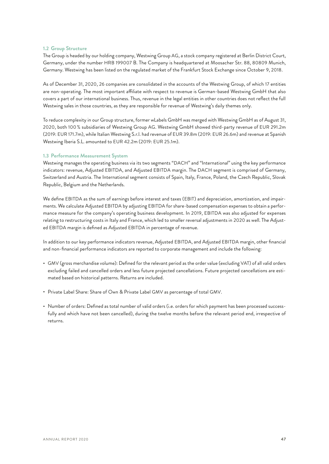#### <span id="page-31-0"></span>**1.2 Group Structure**

The Group is headed by our holding company, Westwing Group AG, a stock company registered at Berlin District Court, Germany, under the number HRB 199007 B. The Company is headquartered at Moosacher Str. 88, 80809 Munich, Germany. Westwing has been listed on the regulated market of the Frankfurt Stock Exchange since October 9, 2018.

As of December 31, 2020, 26 companies are consolidated in the accounts of the Westwing Group, of which 17 entities are non-operating. The most important affiliate with respect to revenue is German-based Westwing GmbH that also covers a part of our international business. Thus, revenue in the legal entities in other countries does not reflect the full Westwing sales in those countries, as they are responsible for revenue of Westwing's daily themes only.

To reduce complexity in our Group structure, former wLabels GmbH was merged with Westwing GmbH as of August 31, 2020, both 100 % subsidiaries of Westwing Group AG. Westwing GmbH showed third-party revenue of EUR 291.2m (2019: EUR 171.7m), while Italian Westwing S.r.l. had revenue of EUR 39.8m (2019: EUR 26.6m) and revenue at Spanish Westwing Iberia S.L. amounted to EUR 42.2m (2019: EUR 25.1m).

#### **1.3 Performance Measurement System**

Westwing manages the operating business via its two segments "DACH" and "International" using the key performance indicators: revenue, Adjusted EBITDA, and Adjusted EBITDA margin. The DACH segment is comprised of Germany, Switzerland and Austria. The International segment consists of Spain, Italy, France, Poland, the Czech Republic, Slovak Republic, Belgium and the Netherlands.

We define EBITDA as the sum of earnings before interest and taxes (EBIT) and depreciation, amortization, and impairments. We calculate Adjusted EBITDA by adjusting EBITDA for share-based compensation expenses to obtain a performance measure for the company's operating business development. In 2019, EBITDA was also adjusted for expenses relating to restructuring costs in Italy and France, which led to smaller reversal adjustments in 2020 as well. The Adjusted EBITDA margin is defined as Adjusted EBITDA in percentage of revenue.

In addition to our key performance indicators revenue, Adjusted EBITDA, and Adjusted EBITDA margin, other financial and non-financial performance indicators are reported to corporate management and include the following:

- GMV (gross merchandise volume): Defined for the relevant period as the order value (excluding VAT) of all valid orders excluding failed and cancelled orders and less future projected cancellations. Future projected cancellations are estimated based on historical patterns. Returns are included.
- Private Label Share: Share of Own & Private Label GMV as percentage of total GMV.
- Number of orders: Defined as total number of valid orders (i.e. orders for which payment has been processed successfully and which have not been cancelled), during the twelve months before the relevant period end, irrespective of returns.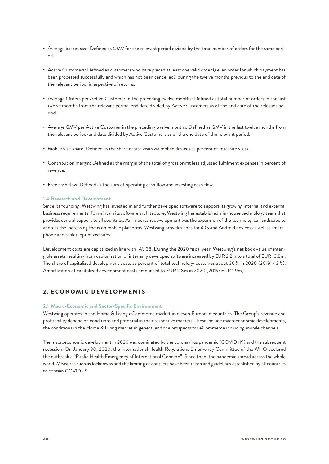- <span id="page-32-0"></span>• Average basket size: Defined as GMV for the relevant period divided by the total number of orders for the same period.
- Active Customers: Defined as customers who have placed at least one valid order (i.e. an order for which payment has been processed successfully and which has not been cancelled), during the twelve months previous to the end date of the relevant period, irrespective of returns.
- Average Orders per Active Customer in the preceding twelve months: Defined as total number of orders in the last twelve months from the relevant period-end date divided by Active Customers as of the end date of the relevant period.
- Average GMV per Active Customer in the preceding twelve months: Defined as GMV in the last twelve months from the relevant period-end date divided by Active Customers as of the end date of the relevant period.
- Mobile visit share: Defined as the share of site visits via mobile devices as percent of total site visits.
- Contribution margin: Defined as the margin of the total of gross profit less adjusted fulfilment expenses in percent of revenue.
- Free cash flow: Defined as the sum of operating cash flow and investing cash flow.

#### **1.4 Research and Development**

Since its founding, Westwing has invested in and further developed software to support its growing internal and external business requirements. To maintain its software architecture, Westwing has established a in-house technology team that provides central support to all countries. An important development was the expansion of the technological landscape to address the increasing focus on mobile platforms. Westwing provides apps for iOS and Android devices as well as smartphone and tablet-optimized sites.

Development costs are capitalized in line with IAS 38. During the 2020 fiscal year, Westwing's net book value of intangible assets resulting from capitalization of internally developed software increased by EUR 2.2m to a total of EUR 13.8m. The share of capitalized development costs as percent of total technology costs was about 30 % in 2020 (2019: 43 %). Amortization of capitalized development costs amounted to EUR 2.8m in 2020 (2019: EUR 1.9m).

#### 2. ECONOMIC DEVELOPMENTS

#### **2.1 Macro-Economic and Sector-Specific Environment**

Westwing operates in the Home & Living eCommerce market in eleven European countries. The Group's revenue and profitability depend on conditions and potential in their respective markets. These include macroeconomic developments, the conditions in the Home & Living market in general and the prospects for eCommerce including mobile channels.

The macroeconomic development in 2020 was dominated by the coronavirus pandemic (COVID-19) and the subsequent recession. On January 30, 2020, the International Health Regulations Emergency Committee of the WHO declared the outbreak a "Public Health Emergency of International Concern". Since then, the pandemic spread across the whole world. Measures such as lockdowns and the limiting of contacts have been taken and guidelines established by all countries to contain COVID-19.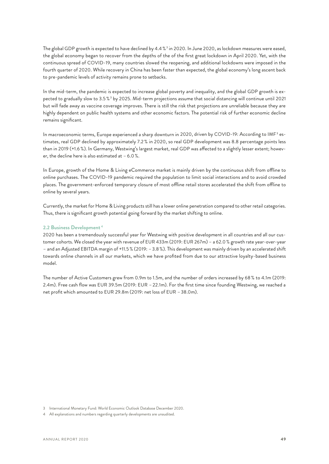<span id="page-33-0"></span>The global GDP growth is expected to have declined by 4.4 %3 in 2020. In June 2020, as lockdown measures were eased, the global economy began to recover from the depths of the of the first great lockdown in April 2020. Yet, with the continuous spread of COVID-19, many countries slowed the reopening, and additional lockdowns were imposed in the fourth quarter of 2020. While recovery in China has been faster than expected, the global economy's long ascent back to pre-pandemic levels of activity remains prone to setbacks.

In the mid-term, the pandemic is expected to increase global poverty and inequality, and the global GDP growth is expected to gradually slow to 3.5 % 3 by 2025. Mid-term projections assume that social distancing will continue until 2021 but will fade away as vaccine coverage improves. There is still the risk that projections are unreliable because they are highly dependent on public health systems and other economic factors. The potential risk of further economic decline remains significant.

In macroeconomic terms, Europe experienced a sharp downturn in 2020, driven by COVID-19: According to IMF<sup>3</sup> estimates, real GDP declined by approximately 7.2 % in 2020, so real GDP development was 8.8 percentage points less than in 2019 (+1.6 %). In Germany, Westwing's largest market, real GDP was affected to a slightly lesser extent; however, the decline here is also estimated at – 6.0 %.

In Europe, growth of the Home & Living eCommerce market is mainly driven by the continuous shift from offline to online purchases. The COVID-19 pandemic required the population to limit social interactions and to avoid crowded places. The government-enforced temporary closure of most offline retail stores accelerated the shift from offline to online by several years.

Currently, the market for Home & Living products still has a lower online penetration compared to other retail categories. Thus, there is significant growth potential going forward by the market shifting to online.

#### **2.2 Business Development 4**

2020 has been a tremendously successful year for Westwing with positive development in all countries and all our customer cohorts. We closed the year with revenue of EUR 433m (2019: EUR 267m) – a 62.0 % growth rate year-over-year – and an Adjusted EBITDA margin of +11.5 % (2019: –3.8 %). This development was mainly driven by an accelerated shift towards online channels in all our markets, which we have profited from due to our attractive loyalty-based business model.

The number of Active Customers grew from 0.9m to 1.5m, and the number of orders increased by 68 % to 4.1m (2019: 2.4m). Free cash flow was EUR 39.5m (2019: EUR –22.1m). For the first time since founding Westwing, we reached a net profit which amounted to EUR 29.8m (2019: net loss of EUR –38.0m).

<sup>3</sup> International Monetary Fund: World Economic Outlook Database December 2020.

<sup>4</sup> All explanations and numbers regarding quarterly developments are unaudited.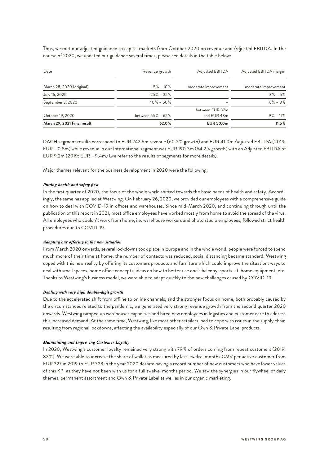Thus, we met our adjusted guidance to capital markets from October 2020 on revenue and Adjusted EBITDA. In the course of 2020, we updated our guidance several times; please see details in the table below:

| Date                        | Revenue growth        | Adjusted EBITDA                | Adjusted EBITDA margin |
|-----------------------------|-----------------------|--------------------------------|------------------------|
| March 28, 2020 (original)   | $5\% - 10\%$          | moderate improvement           | moderate improvement   |
| July 16, 2020               | $25\% - 35\%$         |                                | $3\% - 5\%$            |
| September 3, 2020           | $40\% - 50\%$         |                                | $6\% - 8\%$            |
| October 19, 2020            | between $55\% - 65\%$ | between EUR 37m<br>and EUR 48m | $9\% - 11\%$           |
| March 29, 2021 Final result | 62.0%                 | <b>EUR 50.0m</b>               | $11.5\%$               |

DACH segment results correspond to EUR 242.6m revenue (60.2 % growth) and EUR 41.0m Adjusted EBITDA (2019: EUR –0.5m) while revenue in our International segment was EUR 190.3m (64.2 % growth) with an Adjusted EBITDA of EUR 9.2m (2019: EUR –9.4m) (we refer to the results of segments for more details).

Major themes relevant for the business development in 2020 were the following:

#### *Putting health and safety first*

In the first quarter of 2020, the focus of the whole world shifted towards the basic needs of health and safety. Accordingly, the same has applied at Westwing. On February 26, 2020, we provided our employees with a comprehensive guide on how to deal with COVID-19 in offices and warehouses. Since mid-March 2020, and continuing through until the publication of this report in 2021, most office employees have worked mostly from home to avoid the spread of the virus. All employees who couldn't work from home, i.e. warehouse workers and photo studio employees, followed strict health procedures due to COVID-19.

#### *Adapting our offering to the new situation*

From March 2020 onwards, several lockdowns took place in Europe and in the whole world, people were forced to spend much more of their time at home, the number of contacts was reduced, social distancing became standard. Westwing coped with this new reality by offering its customers products and furniture which could improve the situation: ways to deal with small spaces, home office concepts, ideas on how to better use one's balcony, sports-at-home equipment, etc. Thanks to Westwing's business model, we were able to adapt quickly to the new challenges caused by COVID-19.

#### *Dealing with very high double-digit growth*

Due to the accelerated shift from offline to online channels, and the stronger focus on home, both probably caused by the circumstances related to the pandemic, we generated very strong revenue growth from the second quarter 2020 onwards. Westwing ramped up warehouses capacities and hired new employees in logistics and customer care to address this increased demand. At the same time, Westwing, like most other retailers, had to cope with issues in the supply chain resulting from regional lockdowns, affecting the availability especially of our Own & Private Label products.

#### *Maintaining and Improving Customer Loyalty*

In 2020, Westwing's customer loyalty remained very strong with 79 % of orders coming from repeat customers (2019: 82 %). We were able to increase the share of wallet as measured by last-twelve-months GMV per active customer from EUR 327 in 2019 to EUR 328 in the year 2020 despite having a record number of new customers who have lower values of this KPI as they have not been with us for a full twelve-months period. We saw the synergies in our flywheel of daily themes, permanent assortment and Own & Private Label as well as in our organic marketing.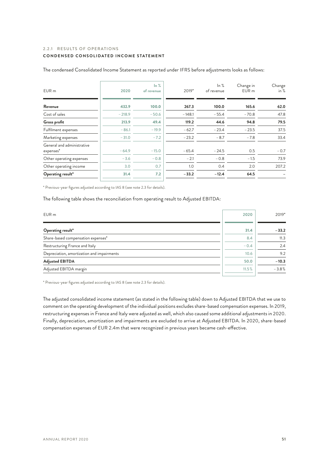#### <span id="page-35-0"></span>2.2.1 RESULTS OF OPERATIONS

#### **CONDENSED CONSOLIDATED INCOME STATEMENT**

| EUR <sub>m</sub>                        | 2020     | $\ln \frac{9}{6}$<br>of revenue | 2019*    | $\ln \frac{9}{6}$<br>of revenue | Change in<br>EUR <sub>m</sub> | Change<br>in % |
|-----------------------------------------|----------|---------------------------------|----------|---------------------------------|-------------------------------|----------------|
| Revenue                                 | 432.9    | 100.0                           | 267.3    | 100.0                           | 165.6                         | 62.0           |
| Cost of sales                           | $-218.9$ | $-50.6$                         | $-148.1$ | $-55.4$                         | $-70.8$                       | 47.8           |
| Gross profit                            | 213.9    | 49.4                            | 119.2    | 44.6                            | 94.8                          | 79.5           |
| Fulfilment expenses                     | $-86.1$  | $-19.9$                         | $-62.7$  | $-23.4$                         | $-23.5$                       | 37.5           |
| Marketing expenses                      | $-31.0$  | $-7.2$                          | $-23.2$  | $-8.7$                          | $-7.8$                        | 33.4           |
| General and administrative<br>expenses* | $-64.9$  | $-15.0$                         | $-65.4$  | $-24.5$                         | 0.5                           | $-0.7$         |
| Other operating expenses                | $-3.6$   | $-0.8$                          | $-2.1$   | $-0.8$                          | $-1.5$                        | 73.9           |
| Other operating income                  | 3.0      | 0.7                             | 1.0      | 0.4                             | 2.0                           | 207.2          |
| Operating result*                       | 31.4     | 7.2                             | $-33.2$  | $-12.4$                         | 64.5                          |                |

The condensed Consolidated Income Statement as reported under IFRS before adjustments looks as follows:

\* Previous-year figures adjusted according to IAS 8 (see note 2.3 for details).

The following table shows the reconciliation from operating result to Adjusted EBITDA:

| EUR <sub>m</sub>                           | 2020   | 2019*   |
|--------------------------------------------|--------|---------|
| Operating result*                          | 31.4   | $-33.2$ |
| Share-based compensation expenses*         | 8.4    | 11.3    |
| Restructuring France and Italy             | $-0.4$ | 2.4     |
| Depreciation, amortization and impairments | 10.6   | 9.2     |
| <b>Adjusted EBITDA</b>                     | 50.0   | $-10.3$ |
| Adjusted EBITDA margin                     | 11.5%  | $-3.8%$ |

\* Previous-year figures adjusted according to IAS 8 (see note 2.3 for details).

The adjusted consolidated income statement (as stated in the following table) down to Adjusted EBITDA that we use to comment on the operating development of the individual positions excludes share-based compensation expenses. In 2019, restructuring expenses in France and Italy were adjusted as well, which also caused some additional adjustments in 2020. Finally, depreciation, amortization and impairments are excluded to arrive at Adjusted EBITDA. In 2020, share-based compensation expenses of EUR 2.4m that were recognized in previous years became cash-effective.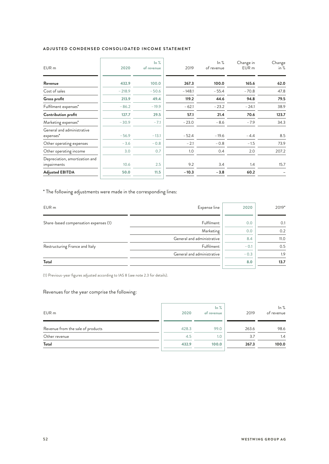#### **ADJUSTED CONDENSED CONSOLIDATED INCOME STATEMENT**

| 2020     | $\ln \frac{9}{6}$<br>of revenue | 2019     | ln %<br>of revenue | Change in<br>EUR <sub>m</sub> | Change<br>in $%$ |
|----------|---------------------------------|----------|--------------------|-------------------------------|------------------|
| 432.9    | 100.0                           | 267.3    | 100.0              | 165.6                         | 62.0             |
| $-218.9$ | $-50.6$                         | $-148.1$ | $-55.4$            | $-70.8$                       | 47.8             |
| 213.9    | 49.4                            | 119.2    | 44.6               | 94.8                          | 79.5             |
| $-86.2$  | $-19.9$                         | $-62.1$  | $-23.2$            | $-24.1$                       | 38.9             |
| 127.7    | 29.5                            | 57.1     | 21.4               | 70.6                          | 123.7            |
| $-30.9$  | $-7.1$                          | $-23.0$  | $-8.6$             | $-7.9$                        | 34.3             |
| $-56.9$  | $-13.1$                         | $-52.4$  | $-19.6$            | $-4.4$                        | 8.5              |
| $-3.6$   | $-0.8$                          | $-2.1$   | $-0.8$             | $-1.5$                        | 73.9             |
| 3.0      | 0.7                             | 1.0      | 0.4                | 2.0                           | 207.2            |
| 10.6     | 2.5                             | 9.2      | 3.4                | 1.4                           | 15.7             |
| 50.0     | 11.5                            | $-10.3$  | $-3.8$             | 60.2                          |                  |
|          |                                 |          |                    |                               |                  |

\* The following adjustments were made in the corresponding lines:

| Expense line               | 2020   | 2019* |
|----------------------------|--------|-------|
| Fulfilment                 | 0.0    | 0.1   |
| Marketing                  | 0.0    | 0.2   |
| General and administrative | 8.4    | 11.0  |
| Fulfilment                 | $-0.1$ | 0.5   |
| General and administrative | $-0.3$ | 1.9   |
|                            | 8.0    | 13.7  |
|                            |        |       |

(1) Previous-year figures adjusted according to IAS 8 (see note 2.3 for details).

#### Revenues for the year comprise the following:

| EUR <sub>m</sub>                  | 2020  | $\ln \frac{9}{6}$<br>of revenue | 2019  | ln %<br>of revenue |
|-----------------------------------|-------|---------------------------------|-------|--------------------|
| Revenue from the sale of products | 428.3 | 99.0                            | 263.6 | 98.6               |
| Other revenue                     | 4.5   | 1.0                             | 3.7   | 1.4                |
| Total                             | 432.9 | 100.0                           | 267.3 | 100.0              |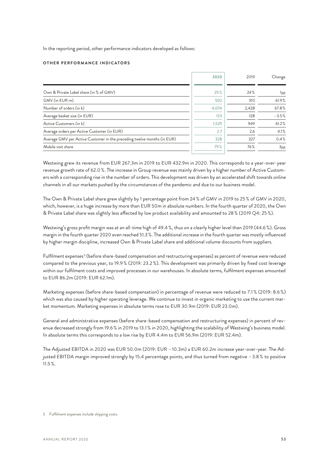In the reporting period, other performance indicators developed as follows:

#### **OTHER PERFORMANCE INDICATORS**

|                                                                         | 2020  | 2019  | Change          |
|-------------------------------------------------------------------------|-------|-------|-----------------|
|                                                                         |       |       |                 |
| Own & Private Label share (in % of GMV)                                 | 25%   | 24%   | 1 <sub>pp</sub> |
| GMV (in EUR m)                                                          | 502   | 310   | 61.9%           |
| Number of orders (in k)                                                 | 4,074 | 2,428 | 67.8%           |
| Average basket size (in EUR)                                            | 123   | 128   | $-3.5%$         |
| Active Customers (in k)                                                 | 1,529 | 949   | 61.2%           |
| Average orders per Active Customer (in EUR)                             | 2.7   | 2.6   | 4.1%            |
| Average GMV per Active Customer in the preceding twelve months (in EUR) | 328   | 327   | 0.4%            |
| Mobile visit share                                                      | 79%   | 76%   | 3 <sub>pp</sub> |
|                                                                         |       |       |                 |

Westwing grew its revenue from EUR 267.3m in 2019 to EUR 432.9m in 2020. This corresponds to a year-over-year revenue growth rate of 62.0 %. The increase in Group revenue was mainly driven by a higher number of Active Customers with a corresponding rise in the number of orders. This development was driven by an accelerated shift towards online channels in all our markets pushed by the circumstances of the pandemic and due to our business model.

The Own & Private Label share grew slightly by 1 percentage point from 24 % of GMV in 2019 to 25 % of GMV in 2020, which, however, is a huge increase by more than EUR 50m in absolute numbers. In the fourth quarter of 2020, the Own & Private Label share was slightly less affected by low product availability and amounted to 28 % (2019 Q4: 25 %).

Westwing's gross profit margin was at an all-time high of 49.4 %, thus on a clearly higher level than 2019 (44.6 %). Gross margin in the fourth quarter 2020 even reached 51.3%. The additional increase in the fourth quarter was mostly influenced by higher margin discipline, increased Own & Private Label share and additional volume discounts from suppliers.

Fulfilment expenses<sup>5</sup> (before share-based compensation and restructuring expenses) as percent of revenue were reduced compared to the previous year, to 19.9 % (2019: 23.2 %). This development was primarily driven by fixed cost leverage within our fulfilment costs and improved processes in our warehouses. In absolute terms, fulfilment expenses amounted to EUR 86.2m (2019: EUR 62.1m).

Marketing expenses (before share-based compensation) in percentage of revenue were reduced to 7.1 % (2019: 8.6 %) which was also caused by higher operating leverage. We continue to invest in organic marketing to use the current market momentum. Marketing expenses in absolute terms rose to EUR 30.9m (2019: EUR 23.0m).

General and administrative expenses (before share-based compensation and restructuring expenses) in percent of revenue decreased strongly from 19.6 % in 2019 to 13.1 % in 2020, highlighting the scalability of Westwing's business model. In absolute terms this corresponds to a low rise by EUR 4.4m to EUR 56.9m (2019: EUR 52.4m).

The Adjusted EBITDA in 2020 was EUR 50.0m (2019: EUR –10.3m) a EUR 60.2m increase year-over-year. The Adjusted EBITDA margin improved strongly by 15.4 percentage points, and thus turned from negative –3.8 % to positive 11.5 %.

<sup>5</sup> Fulfilment expenses include shipping costs.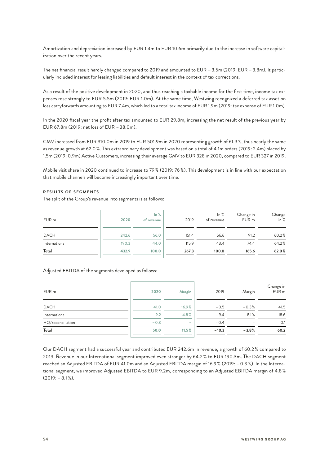Amortization and depreciation increased by EUR 1.4m to EUR 10.6m primarily due to the increase in software capitalization over the recent years.

The net financial result hardly changed compared to 2019 and amounted to EUR –3.5m (2019: EUR –3.8m). It particularly included interest for leasing liabilities and default interest in the context of tax corrections.

As a result of the positive development in 2020, and thus reaching a taxbable income for the first time, income tax expenses rose strongly to EUR 5.5m (2019: EUR 1.0m). At the same time, Westwing recognized a deferred tax asset on loss carryforwards amounting to EUR 7.4m, which led to a total tax income of EUR 1.9m (2019: tax expense of EUR 1.0m).

In the 2020 fiscal year the profit after tax amounted to EUR 29.8m, increasing the net result of the previous year by EUR 67.8m (2019: net loss of EUR –38.0m).

GMV increased from EUR 310.0m in 2019 to EUR 501.9m in 2020 representing growth of 61.9 %, thus nearly the same as revenue growth at 62.0 %. This extraordinary development was based on a total of 4.1m orders (2019: 2.4m) placed by 1.5m (2019: 0.9m) Active Customers, increasing their average GMV to EUR 328 in 2020, compared to EUR 327 in 2019.

Mobile visit share in 2020 continued to increase to 79 % (2019: 76 %). This development is in line with our expectation that mobile channels will become increasingly important over time.

#### **RESULTS OF SEGMENTS**

The split of the Group's revenue into segments is as follows:

| EUR <sub>m</sub> | 2020  | $\ln \frac{9}{6}$<br>of revenue | 2019  | ln %<br>of revenue | Change in<br>EUR <sub>m</sub> | Change<br>in % |
|------------------|-------|---------------------------------|-------|--------------------|-------------------------------|----------------|
| <b>DACH</b>      | 242.6 | 56.0                            | 151.4 | 56.6               | 91.2                          | 60.2%          |
| International    | 190.3 | 44.0                            | 115.9 | 43.4               | 74.4                          | 64.2%          |
| Total            | 432.9 | 100.0                           | 267.3 | 100.0              | 165.6                         | 62.0%          |

#### Adjusted EBITDA of the segments developed as follows:

| EUR m             | 2020   | Margin                   | 2019    | Margin          | Change in<br>EUR m |
|-------------------|--------|--------------------------|---------|-----------------|--------------------|
| <b>DACH</b>       | 41.0   | 16.9%                    | $-0.5$  | $-0.3%$         | 41.5               |
| International     | 9.2    | 4.8%                     | $-9.4$  | $-8.1%$         | 18.6               |
| HQ/reconciliation | $-0.3$ | $\overline{\phantom{a}}$ | $-0.4$  | $\qquad \qquad$ | 0.1                |
| Total             | 50.0   | 11.5%                    | $-10.3$ | $-3.8%$         | 60.2               |

Our DACH segment had a successful year and contributed EUR 242.6m in revenue, a growth of 60.2 % compared to 2019. Revenue in our International segment improved even stronger by 64.2 % to EUR 190.3m. The DACH segment reached an Adjusted EBITDA of EUR 41.0m and an Adjusted EBITDA margin of 16.9 % (2019: –0.3 %). In the International segment, we improved Adjusted EBITDA to EUR 9.2m, corresponding to an Adjusted EBITDA margin of 4.8 %  $(2019: -8.1\%)$ .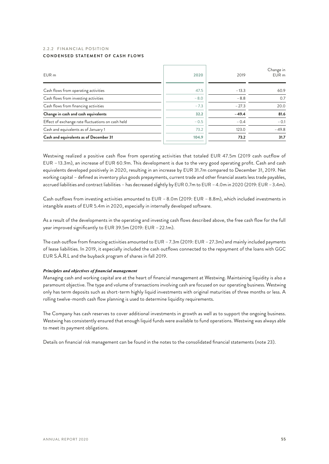#### <span id="page-39-0"></span>2.2.2 FINANCIAL POSITION **CONDENSED STATEMENT OF CASH FLOWS**

| EUR <sub>m</sub>                                  | 2020   | 2019    | Change in<br>EUR m |
|---------------------------------------------------|--------|---------|--------------------|
| Cash flows from operating activities              | 47.5   | $-13.3$ | 60.9               |
| Cash flows from investing activities              | $-8.0$ | $-8.8$  | 0.7                |
| Cash flows from financing activities              | $-7.3$ | $-27.3$ | 20.0               |
| Change in cash and cash equivalents               | 32.2   | $-49.4$ | 81.6               |
| Effect of exchange rate fluctuations on cash held | $-0.5$ | $-0.4$  | $-0.1$             |
| Cash and equivalents as of January 1              | 73.2   | 123.0   | $-49.8$            |
| Cash and equivalents as of December 31            | 104.9  | 73.2    | 31.7               |

Westwing realized a positive cash flow from operating activities that totaled EUR 47.5m (2019 cash outflow of EUR –13.3m), an increase of EUR 60.9m. This development is due to the very good operating profit. Cash and cash equivalents developed positively in 2020, resulting in an increase by EUR 31.7m compared to December 31, 2019. Net working capital – defined as inventory plus goods prepayments, current trade and other financial assets less trade payables, accrued liabilities and contract liabilities – has decreased slightly by EUR 0.7m to EUR –4.0m in 2020 (2019: EUR –3.4m).

Cash outflows from investing activities amounted to EUR –8.0m (2019: EUR –8.8m), which included investments in intangible assets of EUR 5.4m in 2020, especially in internally developed software.

As a result of the developments in the operating and investing cash flows described above, the free cash flow for the full year improved significantly to EUR 39.5m (2019: EUR –22.1m).

The cash outflow from financing activities amounted to EUR –7.3m (2019: EUR –27.3m) and mainly included payments of lease liabilities. In 2019, it especially included the cash outflows connected to the repayment of the loans with GGC EUR S.À.R.L and the buyback program of shares in fall 2019.

#### *Principles and objectives of financial management*

Managing cash and working capital are at the heart of financial management at Westwing. Maintaining liquidity is also a paramount objective. The type and volume of transactions involving cash are focused on our operating business. Westwing only has term deposits such as short-term highly liquid investments with original maturities of three months or less. A rolling twelve-month cash flow planning is used to determine liquidity requirements.

The Company has cash reserves to cover additional investments in growth as well as to support the ongoing business. Westwing has consistently ensured that enough liquid funds were available to fund operations. Westwing was always able to meet its payment obligations.

Details on financial risk management can be found in the notes to the consolidated financial statements (note 23).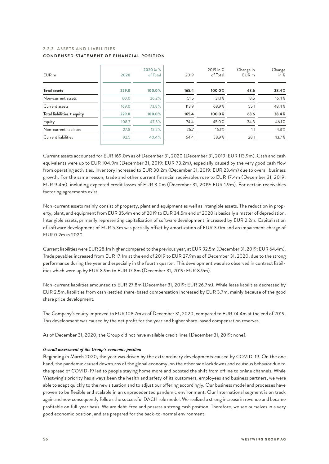#### <span id="page-40-0"></span>2.2.3 A S S F T S AND LIABILITIES **CONDENSED STATEMENT OF FINANCIAL POSITION**

| EUR m                      | 2020  | 2020 in %<br>of Total | 2019  | 2019 in %<br>of Total | Change in<br>EUR <sub>m</sub> | Change<br>in $%$ |
|----------------------------|-------|-----------------------|-------|-----------------------|-------------------------------|------------------|
| <b>Total assets</b>        | 229.0 | 100.0%                | 165.4 | 100.0%                | 63.6                          | 38.4%            |
| Non-current assets         | 60.0  | 26.2%                 | 51.5  | 31.1%                 | 8.5                           | 16.4%            |
| Current assets             | 169.0 | 73.8%                 | 113.9 | 68.9%                 | 55.1                          | 48.4%            |
| Total liabilities + equity | 229.0 | 100.0%                | 165.4 | 100.0%                | 63.6                          | 38.4%            |
| Equity                     | 108.7 | 47.5%                 | 74.4  | 45.0%                 | 34.3                          | 46.1%            |
| Non-current liabilities    | 27.8  | 12.2%                 | 26.7  | 16.1%                 | 1.1                           | $4.3\%$          |
| Current liabilities        | 92.5  | 40.4%                 | 64.4  | 38.9%                 | 28.1                          | 43.7%            |

Current assets accounted for EUR 169.0m as of December 31, 2020 (December 31, 2019: EUR 113.9m). Cash and cash equivalents were up to EUR 104.9m (December 31, 2019: EUR 73.2m), especially caused by the very good cash flow from operating activities. Inventory increased to EUR 30.2m (December 31, 2019: EUR 23.4m) due to overall business growth. For the same reason, trade and other current financial receivables rose to EUR 17.4m (December 31, 2019: EUR 9.4m), including expected credit losses of EUR 3.0m (December 31, 2019: EUR 1.9m). For certain receivables factoring agreements exist.

Non-current assets mainly consist of property, plant and equipment as well as intangible assets. The reduction in property, plant, and equipment from EUR 35.4m end of 2019 to EUR 34.5m end of 2020 is basically a matter of depreciation. Intangible assets, primarily representing capitalization of software development, increased by EUR 2.2m. Capitalization of software development of EUR 5.3m was partially offset by amortization of EUR 3.0m and an impairment charge of EUR 0.2m in 2020.

Current liabilities were EUR 28.1m higher compared to the previous year, at EUR 92.5m (December 31, 2019: EUR 64.4m). Trade payables increased from EUR 17.1m at the end of 2019 to EUR 27.9m as of December 31, 2020, due to the strong performance during the year and especially in the fourth quarter. This development was also observed in contract liabilities which were up by EUR 8.9m to EUR 17.8m (December 31, 2019: EUR 8.9m).

Non-current liabilities amounted to EUR 27.8m (December 31, 2019: EUR 26.7m). While lease liabilities decreased by EUR 2.5m, liabilities from cash-settled share-based compensation increased by EUR 3.7m, mainly because of the good share price development.

The Company's equity improved to EUR 108.7m as of December 31, 2020, compared to EUR 74.4m at the end of 2019. This development was caused by the net profit for the year and higher share-based compensation reserves.

As of December 31, 2020, the Group did not have available credit lines (December 31, 2019: none).

#### *Overall assessment of the Group's economic position*

Beginning in March 2020, the year was driven by the extraordinary developments caused by COVID-19. On the one hand, the pandemic caused downturns of the global economy, on the other side lockdowns and cautious behavior due to the spread of COVID-19 led to people staying home more and boosted the shift from offline to online channels. While Westwing's priority has always been the health and safety of its customers, employees and business partners, we were able to adapt quickly to the new situation and to adjust our offering accordingly. Our business model and processes have proven to be flexible and scalable in an unprecedented pandemic environment. Our International segment is on track again and now consequently follows the successful DACH role model. We realized a strong increase in revenue and became profitable on full-year basis. We are debt-free and possess a strong cash position. Therefore, we see ourselves in a very good economic position, and are prepared for the back-to-normal environment.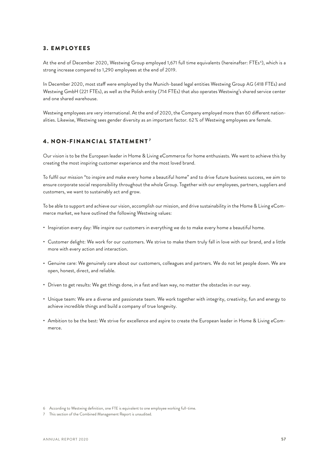#### <span id="page-41-0"></span>3 . EMPLOYEES

At the end of December 2020, Westwing Group employed 1,671 full time equivalents (hereinafter: FTEs'), which is a strong increase compared to 1,290 employees at the end of 2019.

In December 2020, most staff were employed by the Munich-based legal entities Westwing Group AG (418 FTEs) and Westwing GmbH (221 FTEs), as well as the Polish entity (714 FTEs) that also operates Westwing's shared service center and one shared warehouse.

Westwing employees are very international. At the end of 2020, the Company employed more than 60 different nationalities. Likewise, Westwing sees gender diversity as an important factor. 62 % of Westwing employees are female.

#### 4. NON-FINANCIAL STATEMENT $^{\prime}$

Our vision is to be the European leader in Home & Living eCommerce for home enthusiasts. We want to achieve this by creating the most inspiring customer experience and the most loved brand.

To fulfil our mission "to inspire and make every home a beautiful home" and to drive future business success, we aim to ensure corporate social responsibility throughout the whole Group. Together with our employees, partners, suppliers and customers, we want to sustainably act and grow.

To be able to support and achieve our vision, accomplish our mission, and drive sustainability in the Home & Living eCommerce market, we have outlined the following Westwing values:

- Inspiration every day: We inspire our customers in everything we do to make every home a beautiful home.
- Customer delight: We work for our customers. We strive to make them truly fall in love with our brand, and a little more with every action and interaction.
- Genuine care: We genuinely care about our customers, colleagues and partners. We do not let people down. We are open, honest, direct, and reliable.
- Driven to get results: We get things done, in a fast and lean way, no matter the obstacles in our way.
- Unique team: We are a diverse and passionate team. We work together with integrity, creativity, fun and energy to achieve incredible things and build a company of true longevity.
- Ambition to be the best: We strive for excellence and aspire to create the European leader in Home & Living eCommerce.

<sup>6</sup> According to Westwing definition, one FTE is equivalent to one employee working full-time.

<sup>7</sup> This section of the Combined Management Report is unaudited.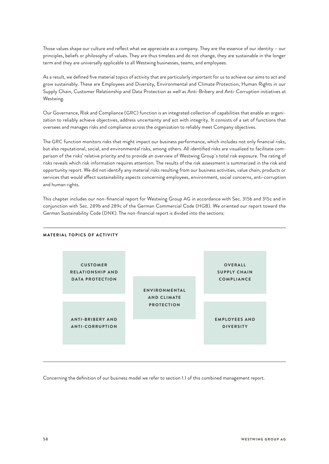Those values shape our culture and reflect what we appreciate as a company. They are the essence of our identity – our principles, beliefs or philosophy of values. They are thus timeless and do not change, they are sustainable in the longer term and they are universally applicable to all Westwing businesses, teams, and employees.

As a result, we defined five material topics of activity that are particularly important for us to achieve our aims to act and grow sustainably. These are Employees and Diversity, Environmental and Climate Protection, Human Rights in our Supply Chain, Customer Relationship and Data Protection as well as Anti-Bribery and Anti-Corruption initiatives at Westwing.

Our Governance, Risk and Compliance (GRC) function is an integrated collection of capabilities that enable an organization to reliably achieve objectives, address uncertainty and act with integrity. It consists of a set of functions that oversees and manages risks and compliance across the organization to reliably meet Company objectives.

The GRC function monitors risks that might impact our business performance, which includes not only financial risks, but also reputational, social, and environmental risks, among others. All identified risks are visualized to facilitate comparison of the risks' relative priority and to provide an overview of Westwing Group´s total risk exposure. The rating of risks reveals which risk information requires attention. The results of the risk assessment is summarized in the risk and opportunity report. We did not identify any material risks resulting from our business activities, value chain, products or services that would affect sustainability aspects concerning employees, environment, social concerns, anti-corruption and human rights.

This chapter includes our non-financial report for Westwing Group AG in accordance with Sec. 315b and 315c and in conjunction with Sec. 289b and 289c of the German Commercial Code (HGB). We oriented our report toward the German Sustainability Code (DNK). The non-financial report is divided into the sections:

#### **MATERIAL TOPICS OF ACTIVITY**



Concerning the definition of our business model we refer to section 1.1 of this combined management report.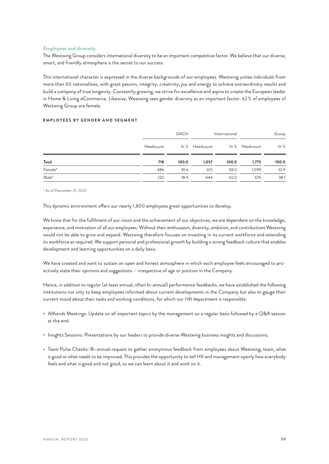#### **Employees and diversity**

The Westwing Group considers international diversity to be an important competitive factor. We believe that our diverse, smart, and friendly atmosphere is the secret to our success.

This international character is expressed in the diverse backgrounds of our employees. Westwing unites individuals from more than 60 nationalities, with great passion, integrity, creativity, joy and energy to achieve extraordinary results and build a company of true longevity. Constantly growing, we strive for excellence and aspire to create the European leader in Home & Living eCommerce. Likewise, Westwing sees gender diversity as an important factor: 62 % of employees of Westwing Group are female.

#### **EMPLOYEES BY GENDER AND SEGMENT**

|         |           | <b>DACH</b> |                | International |                | Group |  |
|---------|-----------|-------------|----------------|---------------|----------------|-------|--|
|         | Headcount |             | In % Headcount |               | In % Headcount | ln %  |  |
| Total   | 718       | 100.0       | 1,057          | 100.0         | 1,775          | 100.0 |  |
| Female* | 486       | 81.6        | 613            | 58.0          | 1.099          | 61.9  |  |
| Male*   | 232       | 18.4        | 444            | 42.0          | 676            | 38.1  |  |

\* As of December 31, 2020

This dynamic environment offers our nearly 1,800 employees great opportunities to develop.

We know that for the fulfilment of our vision and the achievement of our objectives, we are dependent on the knowledge, experience, and motivation of all our employees. Without their enthusiasm, diversity, ambition, and contributions Westwing would not be able to grow and expand. Westwing therefore focuses on investing in its current workforce and extending its workforce as required. We support personal and professional growth by building a strong feedback culture that enables development and learning opportunities on a daily basis.

We have created and want to sustain an open and honest atmosphere in which each employee feels encouraged to proactively state their opinions and suggestions – irrespective of age or position in the Company.

Hence, in addition to regular (at least annual, often bi-annual) performance feedbacks, we have established the following institutions not only to keep employees informed about current developments in the Company but also to gauge their current mood about their tasks and working conditions, for which our HR department is responsible:

- Allhands Meetings: Update on all important topics by the management on a regular basis followed by a Q&A session at the end.
- Insights Sessions: Presentations by our leaders to provide diverse Westwing business insights and discussions.
- Team Pulse Checks: Bi-annual request to gather anonymous feedback from employees about Westwing, team, what is good or what needs to be improved. This provides the opportunity to tell HR and management openly how everybody feels and what is good and not good, so we can learn about it and work on it.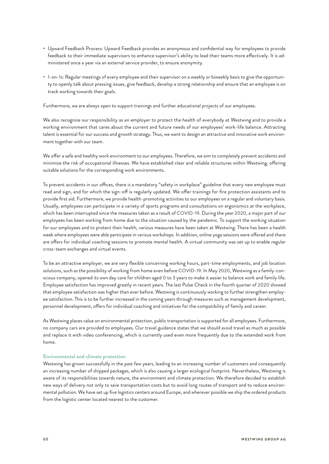- Upward Feedback Process: Upward Feedback provides an anonymous and confidential way for employees to provide feedback to their immediate supervisors to enhance supervisor's ability to lead their teams more effectively. It is administered once a year via an external service provider, to ensure anonymity.
- 1-on-1s: Regular meetings of every employee and their supervisor on a weekly or biweekly basis to give the opportunity to openly talk about pressing issues, give feedback, develop a strong relationship and ensure that an employee is on track working towards their goals.

Furthermore, we are always open to support trainings and further educational projects of our employees.

We also recognize our responsibility as an employer to protect the health of everybody at Westwing and to provide a working environment that cares about the current and future needs of our employees' work-life balance. Attracting talent is essential for our success and growth strategy. Thus, we want to design an attractive and innovative work environment together with our team.

We offer a safe and healthy work environment to our employees. Therefore, we aim to completely prevent accidents and minimize the risk of occupational illnesses. We have established clear and reliable structures within Westwing, offering suitable solutions for the corresponding work environments.

To prevent accidents in our offices, there is a mandatory "safety in workplace" guideline that every new employee must read and sign, and for which the sign-off is regularly updated. We offer trainings for fire protection assistants and to provide first aid. Furthermore, we provide health-promoting activities to our employees on a regular and voluntary basis. Usually, employees can participate in a variety of sports programs and consultations on ergonomics at the workplace, which has been interrupted since the measures taken as a result of COVID-19. During the year 2020, a major part of our employees has been working from home due to the situation caused by the pandemic. To support the working situation for our employees and to protect their health, various measures have been taken at Westwing. There has been a health week where employees were able participate in various workshops. In addition, online yoga sessions were offered and there are offers for individual coaching sessions to promote mental health. A virtual community was set up to enable regular cross-team exchanges and virtual events.

To be an attractive employer, we are very flexible concerning working hours, part-time employments, and job location solutions, such as the possibility of working from home even before COVID-19. In May 2020, Westwing as a family-conscious company, opened its own day care for children aged 0 to 3 years to make it easier to balance work and family life. Employee satisfaction has improved greatly in recent years. The last Pulse Check in the fourth quarter of 2020 showed that employee satisfaction was higher than ever before. Westwing is continuously working to further strengthen employee satisfaction. This is to be further increased in the coming years through measures such as management development, personnel development, offers for individual coaching and initiatives for the compatibility of family and career.

As Westwing places value on environmental protection, public transportation is supported for all employees. Furthermore, no company cars are provided to employees. Our travel guidance states that we should avoid travel as much as possible and replace it with video conferencing, which is currently used even more frequently due to the extended work from home.

#### **Environmental and climate protection**

Westwing has grown successfully in the past few years, leading to an increasing number of customers and consequently an increasing number of shipped packages, which is also causing a larger ecological footprint. Nevertheless, Westwing is aware of its responsibilities towards nature, the environment and climate protection. We therefore decided to establish new ways of delivery not only to save transportation costs but to avoid long routes of transport and to reduce environmental pollution. We have set up five logistics centers around Europe, and wherever possible we ship the ordered products from the logistic center located nearest to the customer.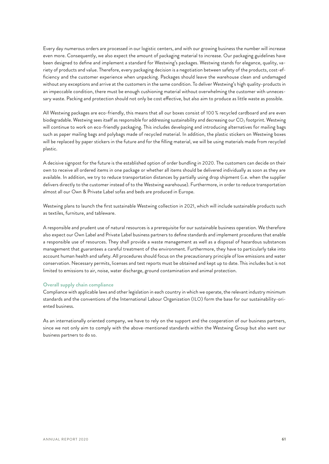Every day numerous orders are processed in our logistic centers, and with our growing business the number will increase even more. Consequently, we also expect the amount of packaging material to increase. Our packaging guidelines have been designed to define and implement a standard for Westwing's packages. Westwing stands for elegance, quality, variety of products and value. Therefore, every packaging decision is a negotiation between safety of the products, cost-efficiency and the customer experience when unpacking. Packages should leave the warehouse clean and undamaged without any exceptions and arrive at the customers in the same condition. To deliver Westwing's high quality-products in an impeccable condition, there must be enough cushioning material without overwhelming the customer with unnecessary waste. Packing and protection should not only be cost effective, but also aim to produce as little waste as possible.

All Westwing packages are eco-friendly, this means that all our boxes consist of 100 % recycled cardboard and are even biodegradable. Westwing sees itself as responsible for addressing sustainability and decreasing our  $CO<sub>2</sub>$  footprint. Westwing will continue to work on eco-friendly packaging. This includes developing and introducing alternatives for mailing bags such as paper mailing bags and polybags made of recycled material. In addition, the plastic stickers on Westwing boxes will be replaced by paper stickers in the future and for the filling material, we will be using materials made from recycled plastic.

A decisive signpost for the future is the established option of order bundling in 2020. The customers can decide on their own to receive all ordered items in one package or whether all items should be delivered individually as soon as they are available. In addition, we try to reduce transportation distances by partially using drop shipment (i.e. when the supplier delivers directly to the customer instead of to the Westwing warehouse). Furthermore, in order to reduce transportation almost all our Own & Private Label sofas and beds are produced in Europe.

Westwing plans to launch the first sustainable Westwing collection in 2021, which will include sustainable products such as textiles, furniture, and tableware.

A responsible and prudent use of natural resources is a prerequisite for our sustainable business operation. We therefore also expect our Own Label and Private Label business partners to define standards and implement procedures that enable a responsible use of resources. They shall provide a waste management as well as a disposal of hazardous substances management that guarantees a careful treatment of the environment. Furthermore, they have to particularly take into account human health and safety. All procedures should focus on the precautionary principle of low emissions and water conservation. Necessary permits, licenses and test reports must be obtained and kept up to date. This includes but is not limited to emissions to air, noise, water discharge, ground contamination and animal protection.

#### **Overall supply chain compliance**

Compliance with applicable laws and other legislation in each country in which we operate, the relevant industry minimum standards and the conventions of the International Labour Organization (ILO) form the base for our sustainability-oriented business.

As an internationally oriented company, we have to rely on the support and the cooperation of our business partners, since we not only aim to comply with the above-mentioned standards within the Westwing Group but also want our business partners to do so.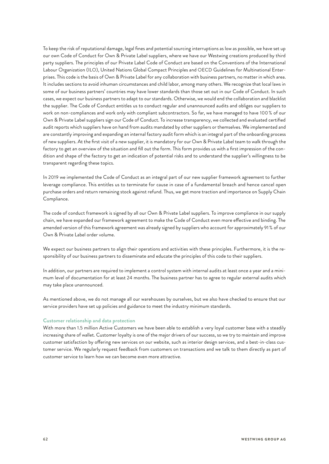To keep the risk of reputational damage, legal fines and potential sourcing interruptions as low as possible, we have set up our own Code of Conduct for Own & Private Label suppliers, where we have our Westwing creations produced by third party suppliers. The principles of our Private Label Code of Conduct are based on the Conventions of the International Labour Organization (ILO), United Nations Global Compact Principles and OECD Guidelines for Multinational Enterprises. This code is the basis of Own & Private Label for any collaboration with business partners, no matter in which area. It includes sections to avoid inhuman circumstances and child labor, among many others. We recognize that local laws in some of our business partners' countries may have lower standards than those set out in our Code of Conduct. In such cases, we expect our business partners to adapt to our standards. Otherwise, we would end the collaboration and blacklist the supplier. The Code of Conduct entitles us to conduct regular and unannounced audits and obliges our suppliers to work on non-compliances and work only with compliant subcontractors. So far, we have managed to have 100 % of our Own & Private Label suppliers sign our Code of Conduct. To increase transparency, we collected and evaluated certified audit reports which suppliers have on hand from audits mandated by other suppliers or themselves. We implemented and are constantly improving and expanding an internal factory audit form which is an integral part of the onboarding process of new suppliers. At the first visit of a new supplier, it is mandatory for our Own & Private Label team to walk through the factory to get an overview of the situation and fill out the form. This form provides us with a first impression of the condition and shape of the factory to get an indication of potential risks and to understand the supplier's willingness to be transparent regarding these topics.

In 2019 we implemented the Code of Conduct as an integral part of our new supplier framework agreement to further leverage compliance. This entitles us to terminate for cause in case of a fundamental breach and hence cancel open purchase orders and return remaining stock against refund. Thus, we get more traction and importance on Supply Chain Compliance.

The code of conduct framework is signed by all our Own & Private Label suppliers. To improve compliance in our supply chain, we have expanded our framework agreement to make the Code of Conduct even more effective and binding. The amended version of this framework agreement was already signed by suppliers who account for approximately 91 % of our Own & Private Label order volume.

We expect our business partners to align their operations and activities with these principles. Furthermore, it is the responsibility of our business partners to disseminate and educate the principles of this code to their suppliers.

In addition, our partners are required to implement a control system with internal audits at least once a year and a minimum level of documentation for at least 24 months. The business partner has to agree to regular external audits which may take place unannounced.

As mentioned above, we do not manage all our warehouses by ourselves, but we also have checked to ensure that our service providers have set up policies and guidance to meet the industry minimum standards.

#### **Customer relationship and data protection**

With more than 1.5 million Active Customers we have been able to establish a very loyal customer base with a steadily increasing share of wallet. Customer loyalty is one of the major drivers of our success, so we try to maintain and improve customer satisfaction by offering new services on our website, such as interior design services, and a best-in-class customer service. We regularly request feedback from customers on transactions and we talk to them directly as part of customer service to learn how we can become even more attractive.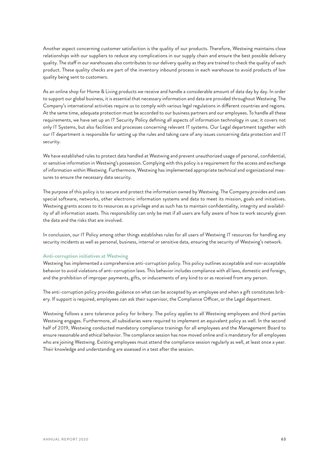Another aspect concerning customer satisfaction is the quality of our products. Therefore, Westwing maintains close relationships with our suppliers to reduce any complications in our supply chain and ensure the best possible delivery quality. The staff in our warehouses also contributes to our delivery quality as they are trained to check the quality of each product. These quality checks are part of the inventory inbound process in each warehouse to avoid products of low quality being sent to customers.

As an online shop for Home & Living products we receive and handle a considerable amount of data day by day. In order to support our global business, it is essential that necessary information and data are provided throughout Westwing. The Company's international activities require us to comply with various legal regulations in different countries and regions. At the same time, adequate protection must be accorded to our business partners and our employees. To handle all these requirements, we have set up an IT Security Policy defining all aspects of information technology in use; it covers not only IT Systems, but also facilities and processes concerning relevant IT systems. Our Legal department together with our IT department is responsible for setting up the rules and taking care of any issues concerning data protection and IT security.

We have established rules to protect data handled at Westwing and prevent unauthorized usage of personal, confidential, or sensitive information in Westwing's possession. Complying with this policy is a requirement for the access and exchange of information within Westwing. Furthermore, Westwing has implemented appropriate technical and organizational measures to ensure the necessary data security.

The purpose of this policy is to secure and protect the information owned by Westwing. The Company provides and uses special software, networks, other electronic information systems and data to meet its mission, goals and initiatives. Westwing grants access to its resources as a privilege and as such has to maintain confidentiality, integrity and availability of all information assets. This responsibility can only be met if all users are fully aware of how to work securely given the data and the risks that are involved.

In conclusion, our IT Policy among other things establishes rules for all users of Westwing IT resources for handling any security incidents as well as personal, business, internal or sensitive data, ensuring the security of Westwing's network.

#### **Anti-corruption initiatives at Westwing**

Westwing has implemented a comprehensive anti-corruption policy. This policy outlines acceptable and non-acceptable behavior to avoid violations of anti-corruption laws. This behavior includes compliance with all laws, domestic and foreign, and the prohibition of improper payments, gifts, or inducements of any kind to or as received from any person.

The anti-corruption policy provides guidance on what can be accepted by an employee and when a gift constitutes bribery. If support is required, employees can ask their supervisor, the Compliance Officer, or the Legal department.

Westwing follows a zero tolerance policy for bribery. The policy applies to all Westwing employees and third parties Westwing engages. Furthermore, all subsidiaries were required to implement an equivalent policy as well. In the second half of 2019, Westwing conducted mandatory compliance trainings for all employees and the Management Board to ensure reasonable and ethical behavior. The compliance session has now moved online and is mandatory for all employees who are joining Westwing. Existing employees must attend the compliance session regularly as well, at least once a year. Their knowledge and understanding are assessed in a test after the session.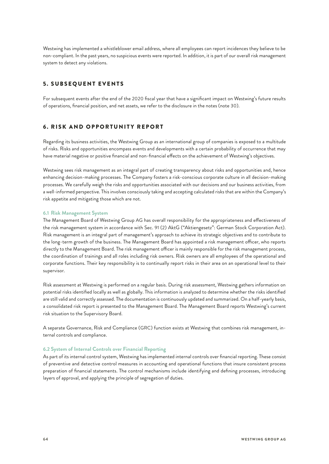<span id="page-48-0"></span>Westwing has implemented a whistleblower email address, where all employees can report incidences they believe to be non-compliant. In the past years, no suspicious events were reported. In addition, it is part of our overall risk management system to detect any violations.

#### 5. SUBSEQUENT EVENTS

For subsequent events after the end of the 2020 fiscal year that have a significant impact on Westwing's future results of operations, financial position, and net assets, we refer to the disclosure in the notes (note 30).

#### **6. RISK AND OPPORTUNITY REPORT**

Regarding its business activities, the Westwing Group as an international group of companies is exposed to a multitude of risks. Risks and opportunities encompass events and developments with a certain probability of occurrence that may have material negative or positive financial and non-financial effects on the achievement of Westwing's objectives.

Westwing sees risk management as an integral part of creating transparency about risks and opportunities and, hence enhancing decision-making processes. The Company fosters a risk-conscious corporate culture in all decision-making processes. We carefully weigh the risks and opportunities associated with our decisions and our business activities, from a well-informed perspective. This involves consciously taking and accepting calculated risks that are within the Company's risk appetite and mitigating those which are not.

#### **6.1 Risk Management System**

The Management Board of Westwing Group AG has overall responsibility for the appropriateness and effectiveness of the risk management system in accordance with Sec. 91 (2) AktG ("Aktiengesetz": German Stock Corporation Act). Risk management is an integral part of management's approach to achieve its strategic objectives and to contribute to the long-term growth of the business. The Management Board has appointed a risk management officer, who reports directly to the Management Board. The risk management officer is mainly responsible for the risk management process, the coordination of trainings and all roles including risk owners. Risk owners are all employees of the operational and corporate functions. Their key responsibility is to continually report risks in their area on an operational level to their supervisor.

Risk assessment at Westwing is performed on a regular basis. During risk assessment, Westwing gathers information on potential risks identified locally as well as globally. This information is analyzed to determine whether the risks identified are still valid and correctly assessed. The documentation is continuously updated and summarized. On a half-yearly basis, a consolidated risk report is presented to the Management Board. The Management Board reports Westwing's current risk situation to the Supervisory Board.

A separate Governance, Risk and Compliance (GRC) function exists at Westwing that combines risk management, internal controls and compliance.

#### **6.2 System of Internal Controls over Financial Reporting**

As part of its internal control system, Westwing has implemented internal controls over financial reporting. These consist of preventive and detective control measures in accounting and operational functions that insure consistent process preparation of financial statements. The control mechanisms include identifying and defining processes, introducing layers of approval, and applying the principle of segregation of duties.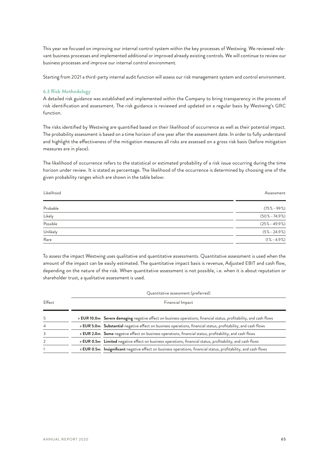<span id="page-49-0"></span>This year we focused on improving our internal control system within the key processes of Westwing. We reviewed relevant business processes and implemented additional or improved already existing controls. We will continue to review our business processes and improve our internal control environment.

Starting from 2021 a third-party internal audit function will assess our risk management system and control environment.

#### **6.3 Risk Methodology**

A detailed risk guidance was established and implemented within the Company to bring transparency in the process of risk identification and assessment. The risk guidance is reviewed and updated on a regular basis by Westwing's GRC function.

The risks identified by Westwing are quantified based on their likelihood of occurrence as well as their potential impact. The probability assessment is based on a time horizon of one year after the assessment date. In order to fully understand and highlight the effectiveness of the mitigation measures all risks are assessed on a gross risk basis (before mitigation measures are in place).

The likelihood of occurrence refers to the statistical or estimated probability of a risk issue occurring during the time horizon under review. It is stated as percentage. The likelihood of the occurrence is determined by choosing one of the given probability ranges which are shown in the table below:

| Likelihood | Assessment        |
|------------|-------------------|
| Probable   | $(75\% - 99\%)$   |
| Likely     | $(50\% - 74.9\%)$ |
| Possible   | $(25\% - 49.9\%)$ |
| Unlikely   | $(5\% - 24.9\%)$  |
| Rare       | $(1\% - 4.9\%)$   |

To assess the impact Westwing uses qualitative and quantitative assessments. Quantitative assessment is used when the amount of the impact can be easily estimated. The quantitative impact basis is revenue, Adjusted EBIT and cash flow, depending on the nature of the risk. When quantitative assessment is not possible, i.e. when it is about reputation or shareholder trust, a qualitative assessment is used.

|                |                  | Quantitative assessment (preferred)                                                                                                                                  |  |  |  |  |  |
|----------------|------------------|----------------------------------------------------------------------------------------------------------------------------------------------------------------------|--|--|--|--|--|
| Effect         | Financial Impact |                                                                                                                                                                      |  |  |  |  |  |
| 5              |                  | > EUR 10.0m Severe damaging negative effect on business operations, financial status, profitability, and cash flows                                                  |  |  |  |  |  |
| $\overline{4}$ |                  | > EUR 5.0m Substantial negative effect on business operations, financial status, profitability, and cash flows                                                       |  |  |  |  |  |
| 3              |                  | > EUR 2.0m Some negative effect on business operations, financial status, profitability, and cash flows                                                              |  |  |  |  |  |
| 2              |                  | > EUR 0.5m Limited negative effect on business operations, financial status, profitability, and cash flows                                                           |  |  |  |  |  |
|                |                  | <eur 0.5m="" and="" business="" cash="" effect="" financial="" flows<="" insignificant="" negative="" on="" operations,="" profitability,="" status,="" td=""></eur> |  |  |  |  |  |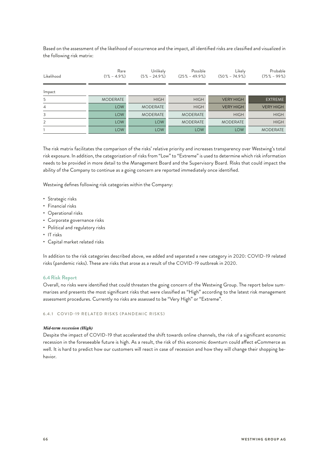<span id="page-50-0"></span>Based on the assessment of the likelihood of occurrence and the impact, all identified risks are classified and visualized in the following risk matrix:

| Likelihood     | Rare<br>$(1\% - 4.9\%)$ | Unlikely<br>$(5\% - 24.9\%)$ | Possible<br>$(25\% - 49.9\%)$ | Likely<br>$(50\% - 74.9\%)$ | Probable<br>$(75\% - 99\%)$ |
|----------------|-------------------------|------------------------------|-------------------------------|-----------------------------|-----------------------------|
| Impact         |                         |                              |                               |                             |                             |
| 5              | <b>MODERATE</b>         | <b>HIGH</b>                  | <b>HIGH</b>                   | <b>VERY HIGH</b>            | <b>EXTREME</b>              |
| $\overline{4}$ | <b>LOW</b>              | <b>MODERATE</b>              | <b>HIGH</b>                   | <b>VERY HIGH</b>            | <b>VERY HIGH</b>            |
| 3              | <b>LOW</b>              | <b>MODERATE</b>              | <b>MODERATE</b>               | <b>HIGH</b>                 | <b>HIGH</b>                 |
| 2              | <b>LOW</b>              | <b>LOW</b>                   | <b>MODERATE</b>               | <b>MODERATE</b>             | <b>HIGH</b>                 |
|                | <b>LOW</b>              | <b>LOW</b>                   | <b>LOW</b>                    | <b>LOW</b>                  | <b>MODERATE</b>             |

The risk matrix facilitates the comparison of the risks' relative priority and increases transparency over Westwing's total risk exposure. In addition, the categorization of risks from "Low" to "Extreme" is used to determine which risk information needs to be provided in more detail to the Management Board and the Supervisory Board. Risks that could impact the ability of the Company to continue as a going concern are reported immediately once identified.

Westwing defines following risk categories within the Company:

- Strategic risks
- Financial risks
- Operational risks
- Corporate governance risks
- Political and regulatory risks
- IT risks
- Capital market related risks

In addition to the risk categories described above, we added and separated a new category in 2020: COVID-19 related risks (pandemic risks). These are risks that arose as a result of the COVID-19 outbreak in 2020.

#### **6.4Risk Report**

Overall, no risks were identified that could threaten the going concern of the Westwing Group. The report below summarizes and presents the most significant risks that were classified as "High" according to the latest risk management assessment procedures. Currently no risks are assessed to be "Very High" or "Extreme".

6.4.1 COVID-19 RELATED RISKS (PANDEMIC RISKS)

#### *Mid-term recession (High)*

Despite the impact of COVID-19 that accelerated the shift towards online channels, the risk of a significant economic recession in the foreseeable future is high. As a result, the risk of this economic downturn could affect eCommerce as well. It is hard to predict how our customers will react in case of recession and how they will change their shopping behavior.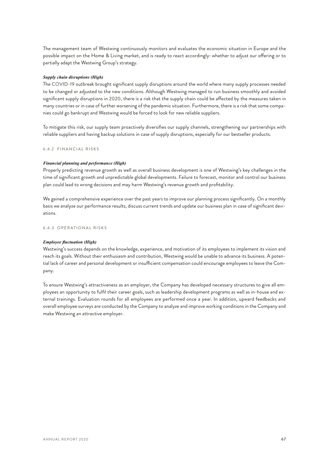<span id="page-51-0"></span>The management team of Westwing continuously monitors and evaluates the economic situation in Europe and the possible impact on the Home & Living market, and is ready to react accordingly: whether to adjust our offering or to partially adapt the Westwing Group's strategy.

#### *Supply chain disruptions (High)*

The COVID-19 outbreak brought significant supply disruptions around the world where many supply processes needed to be changed or adjusted to the new conditions. Although Westwing managed to run business smoothly and avoided significant supply disruptions in 2020, there is a risk that the supply chain could be affected by the measures taken in many countries or in case of further worsening of the pandemic situation. Furthermore, there is a risk that some companies could go bankrupt and Westwing would be forced to look for new reliable suppliers.

To mitigate this risk, our supply team proactively diversifies our supply channels, strengthening our partnerships with reliable suppliers and having backup solutions in case of supply disruptions, especially for our bestseller products.

#### 6.4.2 FINANCIAL RISKS

#### *Financial planning and performance (High)*

Properly predicting revenue growth as well as overall business development is one of Westwing's key challenges in the time of significant growth and unpredictable global developments. Failure to forecast, monitor and control our business plan could lead to wrong decisions and may harm Westwing's revenue growth and profitability.

We gained a comprehensive experience over the past years to improve our planning process significantly. On a monthly basis we analyze our performance results, discuss current trends and update our business plan in case of significant deviations.

#### 6.4.3 OPERATIONAL RISKS

#### *Employee fluctuation (High)*

Westwing's success depends on the knowledge, experience, and motivation of its employees to implement its vision and reach its goals. Without their enthusiasm and contribution, Westwing would be unable to advance its business. A potential lack of career and personal development or insufficient compensation could encourage employees to leave the Company.

To ensure Westwing's attractiveness as an employer, the Company has developed necessary structures to give all employees an opportunity to fulfil their career goals, such as leadership development programs as well as in-house and external trainings. Evaluation rounds for all employees are performed once a year. In addition, upward feedbacks and overall employee surveys are conducted by the Company to analyze and improve working conditions in the Company and make Westwing an attractive employer.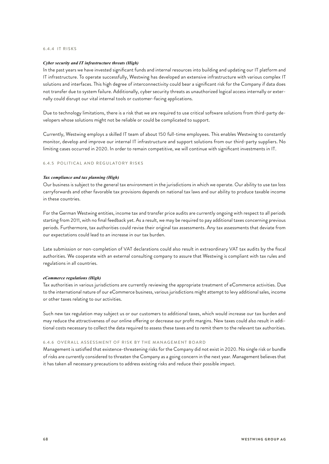#### <span id="page-52-0"></span>6.4.4 IT RISKS

#### *Cyber security and IT infrastructure threats (High)*

In the past years we have invested significant funds and internal resources into building and updating our IT platform and IT infrastructure. To operate successfully, Westwing has developed an extensive infrastructure with various complex IT solutions and interfaces. This high degree of interconnectivity could bear a significant risk for the Company if data does not transfer due to system failure. Additionally, cyber security threats as unauthorized logical access internally or externally could disrupt our vital internal tools or customer-facing applications.

Due to technology limitations, there is a risk that we are required to use critical software solutions from third-party developers whose solutions might not be reliable or could be complicated to support.

Currently, Westwing employs a skilled IT team of about 150 full-time employees. This enables Westwing to constantly monitor, develop and improve our internal IT infrastructure and support solutions from our third-party suppliers. No limiting cases occurred in 2020. In order to remain competitive, we will continue with significant investments in IT.

#### 6.4.5 POLITICAL AND REGULATORY RISKS

#### *Tax compliance and tax planning (High)*

Our business is subject to the general tax environment in the jurisdictions in which we operate. Our ability to use tax loss carryforwards and other favorable tax provisions depends on national tax laws and our ability to produce taxable income in these countries.

For the German Westwing entities, income tax and transfer price audits are currently ongoing with respect to all periods starting from 2011, with no final feedback yet. As a result, we may be required to pay additional taxes concerning previous periods. Furthermore, tax authorities could revise their original tax assessments. Any tax assessments that deviate from our expectations could lead to an increase in our tax burden.

Late submission or non-completion of VAT declarations could also result in extraordinary VAT tax audits by the fiscal authorities. We cooperate with an external consulting company to assure that Westwing is compliant with tax rules and regulations in all countries.

#### *eCommerce regulations (High)*

Tax authorities in various jurisdictions are currently reviewing the appropriate treatment of eCommerce activities. Due to the international nature of our eCommerce business, various jurisdictions might attempt to levy additional sales, income or other taxes relating to our activities.

Such new tax regulation may subject us or our customers to additional taxes, which would increase our tax burden and may reduce the attractiveness of our online offering or decrease our profit margins. New taxes could also result in additional costs necessary to collect the data required to assess these taxes and to remit them to the relevant tax authorities.

#### 6.4.6 OVERALL ASSESSMENT OF RISK BY THE MANAGEMENT BOARD

Management is satisfied that existence-threatening risks for the Company did not exist in 2020. No single risk or bundle of risks are currently considered to threaten the Company as a going concern in the next year. Management believes that it has taken all necessary precautions to address existing risks and reduce their possible impact.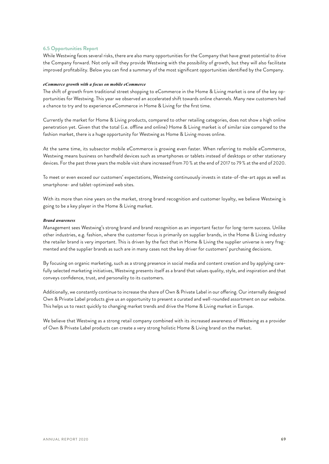#### <span id="page-53-0"></span>**6.5 Opportunities Report**

While Westwing faces several risks, there are also many opportunities for the Company that have great potential to drive the Company forward. Not only will they provide Westwing with the possibility of growth, but they will also facilitate improved profitability. Below you can find a summary of the most significant opportunities identified by the Company.

#### *eCommerce growth with a focus on mobile eCommerce*

The shift of growth from traditional street shopping to eCommerce in the Home & Living market is one of the key opportunities for Westwing. This year we observed an accelerated shift towards online channels. Many new customers had a chance to try and to experience eCommerce in Home & Living for the first time.

Currently the market for Home & Living products, compared to other retailing categories, does not show a high online penetration yet. Given that the total (i.e. offline and online) Home & Living market is of similar size compared to the fashion market, there is a huge opportunity for Westwing as Home & Living moves online.

At the same time, its subsector mobile eCommerce is growing even faster. When referring to mobile eCommerce, Westwing means business on handheld devices such as smartphones or tablets instead of desktops or other stationary devices. For the past three years the mobile visit share increased from 70 % at the end of 2017 to 79 % at the end of 2020.

To meet or even exceed our customers' expectations, Westwing continuously invests in state-of-the-art apps as well as smartphone- and tablet-optimized web sites.

With its more than nine years on the market, strong brand recognition and customer loyalty, we believe Westwing is going to be a key player in the Home & Living market.

#### *Brand awareness*

Management sees Westwing's strong brand and brand recognition as an important factor for long-term success. Unlike other industries, e.g. fashion, where the customer focus is primarily on supplier brands, in the Home & Living industry the retailer brand is very important. This is driven by the fact that in Home & Living the supplier universe is very fragmented and the supplier brands as such are in many cases not the key driver for customers' purchasing decisions.

By focusing on organic marketing, such as a strong presence in social media and content creation and by applying carefully selected marketing initiatives, Westwing presents itself as a brand that values quality, style, and inspiration and that conveys confidence, trust, and personality to its customers.

Additionally, we constantly continue to increase the share of Own & Private Label in our offering. Our internally designed Own & Private Label products give us an opportunity to present a curated and well-rounded assortment on our website. This helps us to react quickly to changing market trends and drive the Home & Living market in Europe.

We believe that Westwing as a strong retail company combined with its increased awareness of Westwing as a provider of Own & Private Label products can create a very strong holistic Home & Living brand on the market.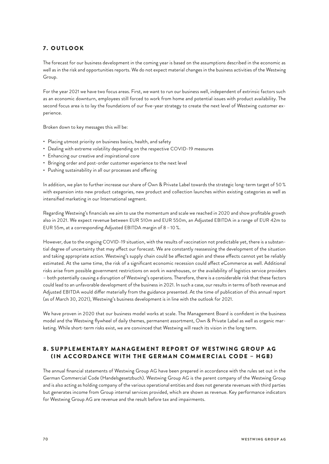#### <span id="page-54-0"></span>7 . OUTLOOK

The forecast for our business development in the coming year is based on the assumptions described in the economic as well as in the risk and opportunities reports. We do not expect material changes in the business activities of the Westwing Group.

For the year 2021 we have two focus areas. First, we want to run our business well, independent of extrinsic factors such as an economic downturn, employees still forced to work from home and potential issues with product availability. The second focus area is to lay the foundations of our five-year strategy to create the next level of Westwing customer experience.

Broken down to key messages this will be:

- Placing utmost priority on business basics, health, and safety
- Dealing with extreme volatility depending on the respective COVID-19 measures
- Enhancing our creative and inspirational core
- Bringing order and post-order customer experience to the next level
- Pushing sustainability in all our processes and offering

In addition, we plan to further increase our share of Own & Private Label towards the strategic long-term target of 50 % with expansion into new product categories, new product and collection launches within existing categories as well as intensified marketing in our International segment.

Regarding Westwing's financials we aim to use the momentum and scale we reached in 2020 and show profitable growth also in 2021. We expect revenue between EUR 510m and EUR 550m, an Adjusted EBITDA in a range of EUR 42m to EUR 55m, at a corresponding Adjusted EBITDA margin of 8 –10 %.

However, due to the ongoing COVID-19 situation, with the results of vaccination not predictable yet, there is a substantial degree of uncertainty that may affect our forecast. We are constantly reassessing the development of the situation and taking appropriate action. Westwing's supply chain could be affected again and these effects cannot yet be reliably estimated. At the same time, the risk of a significant economic recession could affect eCommerce as well. Additional risks arise from possible government restrictions on work in warehouses, or the availability of logistics service providers – both potentially causing a disruption of Westwing's operations. Therefore, there is a considerable risk that these factors could lead to an unfavorable development of the business in 2021. In such a case, our results in terms of both revenue and Adjusted EBITDA would differ materially from the guidance presented. At the time of publication of this annual report (as of March 30, 2021), Westwing's business development is in line with the outlook for 2021.

We have proven in 2020 that our business model works at scale. The Management Board is confident in the business model and the Westwing flywheel of daily themes, permanent assortment, Own & Private Label as well as organic marketing. While short-term risks exist, we are convinced that Westwing will reach its vision in the long term.

#### 8 . SUPPLEMENTARY MANAGEMENT REPORT OF WESTWING GROUP AG (IN ACCORDANCE WITH THE GERMAN COMMERCIAL CODE – HGB)

The annual financial statements of Westwing Group AG have been prepared in accordance with the rules set out in the German Commercial Code (Handelsgesetzbuch). Westwing Group AG is the parent company of the Westwing Group and is also acting as holding company of the various operational entities and does not generate revenues with third parties but generates income from Group internal services provided, which are shown as revenue. Key performance indicators for Westwing Group AG are revenue and the result before tax and impairments.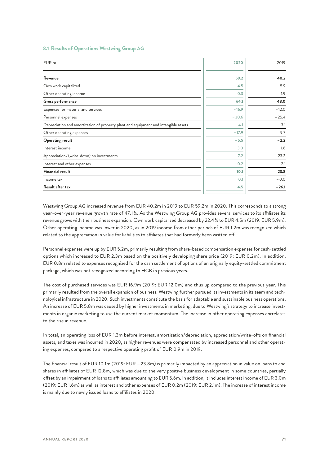| EUR <sub>m</sub>                                                                    | 2020    | 2019     |
|-------------------------------------------------------------------------------------|---------|----------|
| Revenue                                                                             | 59.2    | 40.2     |
| Own work capitalized                                                                | 4.5     | 5.9      |
| Other operating income                                                              | 0.3     | 1.9      |
| Gross performance                                                                   | 64.1    | 48.0     |
| Expenses for material and services                                                  | $-16.9$ | $-12.0$  |
| Personnel expenses                                                                  | $-30.6$ | $-25.4$  |
| Depreciation and amortization of property plant and equipment and intangible assets | $-4.1$  | $-3.1$   |
| Other operating expenses                                                            | $-17.9$ | $-9.7$   |
| <b>Operating result</b>                                                             | $-5.5$  | $-2.2$   |
| Interest income                                                                     | 3.0     | 1.6      |
| Appreciation/(write-down) on investments                                            | 7.2     | $-23.3$  |
| Interest and other expenses                                                         | $-0.2$  | $-2.1$   |
| <b>Financial result</b>                                                             | 10.1    | $-23.8$  |
| Income tax                                                                          | 0.1     | $-0.0 -$ |
| Result after tax                                                                    | 4.5     | $-26.1$  |

#### <span id="page-55-0"></span>**8.1 Results of Operations Westwing Group AG**

Westwing Group AG increased revenue from EUR 40.2m in 2019 to EUR 59.2m in 2020. This corresponds to a strong year-over-year revenue growth rate of 47.1 %. As the Westwing Group AG provides several services to its affiliates its revenue grows with their business expansion. Own work capitalized decreased by 22.4 % to EUR 4.5m (2019: EUR 5.9m). Other operating income was lower in 2020, as in 2019 income from other periods of EUR 1.2m was recognized which related to the appreciation in value for liabilities to affiliates that had formerly been written off.

Personnel expenses were up by EUR 5.2m, primarily resulting from share-based compensation expenses for cash-settled options which increased to EUR 2.3m based on the positively developing share price (2019: EUR 0.2m). In addition, EUR 0.8m related to expenses recognized for the cash settlement of options of an originally equity-settled commitment package, which was not recognized according to HGB in previous years.

The cost of purchased services was EUR 16.9m (2019: EUR 12.0m) and thus up compared to the previous year. This primarily resulted from the overall expansion of business. Westwing further pursued its investments in its team and technological infrastructure in 2020. Such investments constitute the basis for adaptable and sustainable business operations. An increase of EUR 5.8m was caused by higher investments in marketing, due to Westwing's strategy to increase investments in organic marketing to use the current market momentum. The increase in other operating expenses correlates to the rise in revenue.

In total, an operating loss of EUR 1.3m before interest, amortization/depreciation, appreciation/write-offs on financial assets, and taxes was incurred in 2020, as higher revenues were compensated by increased personnel and other operating expenses, compared to a respective operating profit of EUR 0.9m in 2019.

The financial result of EUR 10.1m (2019: EUR –23.8m) is primarily impacted by an appreciation in value on loans to and shares in affiliates of EUR 12.8m, which was due to the very positive business development in some countries, partially offset by an impairment of loans to affiliates amounting to EUR 5.6m. In addition, it includes interest income of EUR 3.0m (2019: EUR 1.6m) as well as interest and other expenses of EUR 0.2m (2019: EUR 2.1m). The increase of interest income is mainly due to newly issued loans to affiliates in 2020.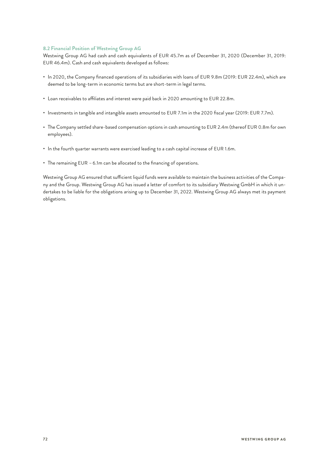#### <span id="page-56-0"></span>**8.2 Financial Position of Westwing Group AG**

Westwing Group AG had cash and cash equivalents of EUR 45.7m as of December 31, 2020 (December 31, 2019: EUR 46.4m). Cash and cash equivalents developed as follows:

- In 2020, the Company financed operations of its subsidiaries with loans of EUR 9.8m (2019: EUR 22.4m), which are deemed to be long-term in economic terms but are short-term in legal terms.
- Loan receivables to affiliates and interest were paid back in 2020 amounting to EUR 22.8m.
- Investments in tangible and intangible assets amounted to EUR 7.1m in the 2020 fiscal year (2019: EUR 7.7m).
- The Company settled share-based compensation options in cash amounting to EUR 2.4m (thereof EUR 0.8m for own employees).
- In the fourth quarter warrants were exercised leading to a cash capital increase of EUR 1.6m.
- The remaining EUR 6.1m can be allocated to the financing of operations.

Westwing Group AG ensured that sufficient liquid funds were available to maintain the business activities of the Company and the Group. Westwing Group AG has issued a letter of comfort to its subsidiary Westwing GmbH in which it undertakes to be liable for the obligations arising up to December 31, 2022. Westwing Group AG always met its payment obligations.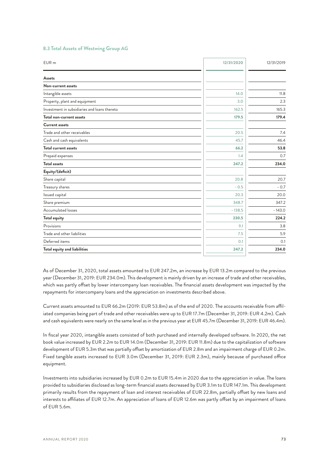<span id="page-57-0"></span>

|  |  |  |  |  | 8.3 Total Assets of Westwing Group AG |  |  |
|--|--|--|--|--|---------------------------------------|--|--|
|--|--|--|--|--|---------------------------------------|--|--|

| EUR <sub>m</sub>                             | 12/31/2020 | 12/31/2019 |
|----------------------------------------------|------------|------------|
| <b>Assets</b>                                |            |            |
| Non-current assets                           |            |            |
| Intangible assets                            | 14.0       | 11.8       |
| Property, plant and equipment                | 3.0        | 2.3        |
| Investment in subsidiaries and loans thereto | 162.5      | 165.3      |
| Total non-current assets                     | 179.5      | 179.4      |
| <b>Current assets</b>                        |            |            |
| Trade and other receivables                  | 20.5       | 7.4        |
| Cash and cash equivalents                    | 45.7       | 46.4       |
| <b>Total current assets</b>                  | 66.2       | 53.8       |
| Prepaid expenses                             | 1.4        | 0.7        |
| <b>Total assets</b>                          | 247.2      | 234.0      |
| Equity/(deficit)                             |            |            |
| Share capital                                | 20.8       | 20.7       |
| Treasury shares                              | $-0.5$     | $-0.7$     |
| Issued capital                               | 20.3       | 20.0       |
| Share premium                                | 348.7      | 347.2      |
| Accumulated losses                           | $-138.5$   | $-143.0$   |
| Total equity                                 | 230.5      | 224.2      |
| Provisions                                   | 9.1        | 3.8        |
| Trade and other liabilities                  | 7.5        | 5.9        |
| Deferred items                               | 0.1        | 0.1        |
| Total equity and liabilities                 | 247.2      | 234.0      |
|                                              |            |            |

As of December 31, 2020, total assets amounted to EUR 247.2m, an increase by EUR 13.2m compared to the previous year (December 31, 2019: EUR 234.0m). This development is mainly driven by an increase of trade and other receivables, which was partly offset by lower intercompany loan receivables. The financial assets development was impacted by the repayments for intercompany loans and the appreciation on investments described above.

Current assets amounted to EUR 66.2m (2019: EUR 53.8m) as of the end of 2020. The accounts receivable from affiliated companies being part of trade and other receivables were up to EUR 17.7m (December 31, 2019: EUR 4.2m). Cash and cash equivalents were nearly on the same level as in the previous year at EUR 45.7m (December 31, 2019: EUR 46.4m).

In fiscal year 2020, intangible assets consisted of both purchased and internally developed software. In 2020, the net book value increased by EUR 2.2m to EUR 14.0m (December 31, 2019: EUR 11.8m) due to the capitalization of software development of EUR 5.3m that was partially offset by amortization of EUR 2.8m and an impairment charge of EUR 0.2m. Fixed tangible assets increased to EUR 3.0m (December 31, 2019: EUR 2.3m), mainly because of purchased office equipment.

Investments into subsidiaries increased by EUR 0.2m to EUR 15.4m in 2020 due to the appreciation in value. The loans provided to subsidiaries disclosed as long-term financial assets decreased by EUR 3.1m to EUR 147.1m. This development primarily results from the repayment of loan and interest receivables of EUR 22.8m, partially offset by new loans and interests to affiliates of EUR 12.7m. An appreciation of loans of EUR 12.6m was partly offset by an impairment of loans of EUR 5.6m.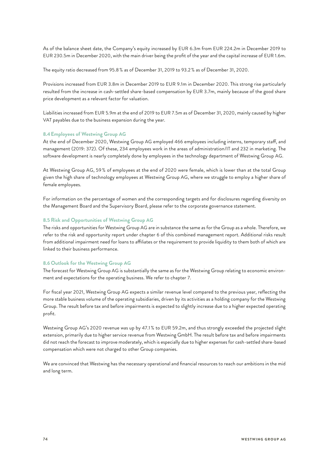<span id="page-58-0"></span>As of the balance sheet date, the Company's equity increased by EUR 6.3m from EUR 224.2m in December 2019 to EUR 230.5m in December 2020, with the main driver being the profit of the year and the capital increase of EUR 1.6m.

The equity ratio decreased from 95.8 % as of December 31, 2019 to 93.2 % as of December 31, 2020.

Provisions increased from EUR 3.8m in December 2019 to EUR 9.1m in December 2020. This strong rise particularly resulted from the increase in cash-settled share-based compensation by EUR 3.7m, mainly because of the good share price development as a relevant factor for valuation.

Liabilities increased from EUR 5.9m at the end of 2019 to EUR 7.5m as of December 31, 2020, mainly caused by higher VAT payables due to the business expansion during the year.

#### **8.4Employees of Westwing Group AG**

At the end of December 2020, Westwing Group AG employed 466 employees including interns, temporary staff, and management (2019: 372). Of these, 234 employees work in the areas of administration/IT and 232 in marketing. The software development is nearly completely done by employees in the technology department of Westwing Group AG.

At Westwing Group AG, 59 % of employees at the end of 2020 were female, which is lower than at the total Group given the high share of technology employees at Westwing Group AG, where we struggle to employ a higher share of female employees.

For information on the percentage of women and the corresponding targets and for disclosures regarding diversity on the Management Board and the Supervisory Board, please refer to the corporate governance statement.

#### **8.5 Risk and Opportunities of Westwing Group AG**

The risks and opportunities for Westwing Group AG are in substance the same as for the Group as a whole. Therefore, we refer to the risk and opportunity report under chapter 6 of this combined management report. Additional risks result from additional impairment need for loans to affiliates or the requirement to provide liquidity to them both of which are linked to their business performance.

#### **8.6 Outlook for the Westwing Group AG**

The forecast for Westwing Group AG is substantially the same as for the Westwing Group relating to economic environment and expectations for the operating business. We refer to chapter 7.

For fiscal year 2021, Westwing Group AG expects a similar revenue level compared to the previous year, reflecting the more stable business volume of the operating subsidiaries, driven by its activities as a holding company for the Westwing Group. The result before tax and before impairments is expected to slightly increase due to a higher expected operating profit.

Westwing Group AG's 2020 revenue was up by 47.1 % to EUR 59.2m, and thus strongly exceeded the projected slight extension, primarily due to higher service revenue from Westwing GmbH. The result before tax and before impairments did not reach the forecast to improve moderately, which is especially due to higher expenses for cash-settled share-based compensation which were not charged to other Group companies.

We are convinced that Westwing has the necessary operational and financial resources to reach our ambitions in the mid and long term.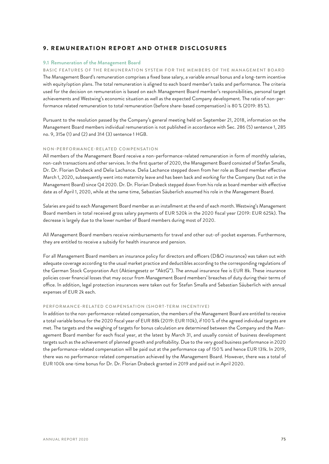#### <span id="page-59-0"></span>9. REMUNERATION REPORT AND OTHER DISCLOSURES

#### **9.1 Remuneration of the Management Board**

BASIC FEATURES OF THE REMUNERATION SYSTEM FOR THE MEMBERS OF THE MANAGEMENT BOARD The Management Board's remuneration comprises a fixed base salary, a variable annual bonus and a long-term incentive with equity/option plans. The total remuneration is aligned to each board member's tasks and performance. The criteria used for the decision on remuneration is based on each Management Board member's responsibilities, personal target achievements and Westwing's economic situation as well as the expected Company development. The ratio of non-performance related remuneration to total remuneration (before share-based compensation) is 80 % (2019: 85 %).

Pursuant to the resolution passed by the Company's general meeting held on September 21, 2018, information on the Management Board members individual remuneration is not published in accordance with Sec. 286 (5) sentence 1, 285 no. 9, 315e (1) and (2) and 314 (3) sentence 1 HGB.

#### NON-PERFORMANCE-RELATED COMPENSATION

All members of the Management Board receive a non-performance-related remuneration in form of monthly salaries, non-cash transactions and other services. In the first quarter of 2020, the Management Board consisted of Stefan Smalla, Dr. Dr. Florian Drabeck and Delia Lachance. Delia Lachance stepped down from her role as Board member effective March 1, 2020, subsequently went into maternity leave and has been back and working for the Company (but not in the Management Board) since Q4 2020. Dr. Dr. Florian Drabeck stepped down from his role as board member with effective date as of April 1, 2020, while at the same time, Sebastian Säuberlich assumed his role in the Management Board.

Salaries are paid to each Management Board member as an installment at the end of each month. Westwing's Management Board members in total received gross salary payments of EUR 520k in the 2020 fiscal year (2019: EUR 625k). The decrease is largely due to the lower number of Board members during most of 2020.

All Management Board members receive reimbursements for travel and other out-of-pocket expenses. Furthermore, they are entitled to receive a subsidy for health insurance and pension.

For all Management Board members an insurance policy for directors and officers (D&O insurance) was taken out with adequate coverage according to the usual market practice and deductibles according to the corresponding regulations of the German Stock Corporation Act (Aktiengesetz or "AktG"). The annual insurance fee is EUR 8k. These insurance policies cover financial losses that may occur from Management Board members' breaches of duty during their terms of office. In addition, legal protection insurances were taken out for Stefan Smalla and Sebastian Säuberlich with annual expenses of EUR 2k each.

#### PERFORMANCE-RELATED COMPENSATION (SHORT-TERM INCENTIVE)

In addition to the non-performance-related compensation, the members of the Management Board are entitled to receive a total variable bonus for the 2020 fiscal year of EUR 88k (2019: EUR 110k), if 100 % of the agreed individual targets are met. The targets and the weighing of targets for bonus calculation are determined between the Company and the Management Board member for each fiscal year, at the latest by March 31, and usually consist of business development targets such as the achievement of planned growth and profitability. Due to the very good business performance in 2020 the performance-related compensation will be paid out at the performance cap of 150 % and hence EUR 131k. In 2019, there was no performance-related compensation achieved by the Management Board. However, there was a total of EUR 100k one-time bonus for Dr. Dr. Florian Drabeck granted in 2019 and paid out in April 2020.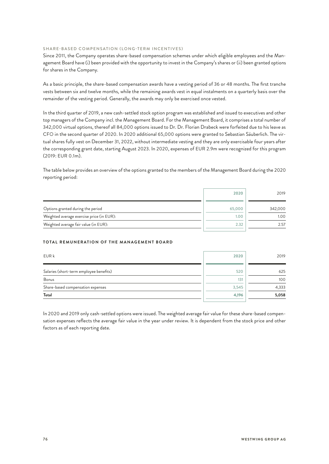#### SHARE-BASED COMPENSATION (LONG-TERM INCENTIVES)

Since 2011, the Company operates share-based compensation schemes under which eligible employees and the Management Board have (i) been provided with the opportunity to invest in the Company's shares or (ii) been granted options for shares in the Company.

As a basic principle, the share-based compensation awards have a vesting period of 36 or 48 months. The first tranche vests between six and twelve months, while the remaining awards vest in equal instalments on a quarterly basis over the remainder of the vesting period. Generally, the awards may only be exercised once vested.

In the third quarter of 2019, a new cash-settled stock option program was established and issued to executives and other top managers of the Company incl. the Management Board. For the Management Board, it comprises a total number of 342,000 virtual options, thereof all 84,000 options issued to Dr. Dr. Florian Drabeck were forfeited due to his leave as CFO in the second quarter of 2020. In 2020 additional 65,000 options were granted to Sebastian Säuberlich. The virtual shares fully vest on December 31, 2022, without intermediate vesting and they are only exercisable four years after the corresponding grant date, starting August 2023. In 2020, expenses of EUR 2.9m were recognized for this program (2019: EUR 0.1m).

The table below provides an overview of the options granted to the members of the Management Board during the 2020 reporting period:

|                                           | 2020   | 2019    |
|-------------------------------------------|--------|---------|
| Options granted during the period         | 65,000 | 342,000 |
| Weighted average exercise price (in EUR): | 1.00   | 1.00    |
| Weighted average fair value (in EUR):     | 2.32   | 2.57    |

#### **TOTAL REMUNERATION OF THE MANAGEMENT BOARD**

| EUR k                                   | 2020  | 2019  |
|-----------------------------------------|-------|-------|
| Salaries (short-term employee benefits) | 520   | 625   |
| Bonus                                   | 131   | 100   |
| Share-based compensation expenses       | 3,545 | 4,333 |
| Total                                   | 4,196 | 5,058 |

In 2020 and 2019 only cash-settled options were issued. The weighted average fair value for these share-based compensation expenses reflects the average fair value in the year under review. It is dependent from the stock price and other factors as of each reporting date.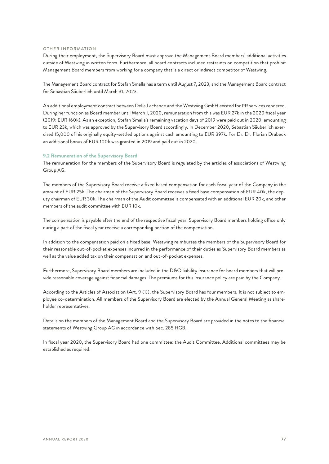#### <span id="page-61-0"></span>OTHER INFORMATION

During their employment, the Supervisory Board must approve the Management Board members' additional activities outside of Westwing in written form. Furthermore, all board contracts included restraints on competition that prohibit Management Board members from working for a company that is a direct or indirect competitor of Westwing.

The Management Board contract for Stefan Smalla has a term until August 7, 2023, and the Management Board contract for Sebastian Säuberlich until March 31, 2023.

An additional employment contract between Delia Lachance and the Westwing GmbH existed for PR services rendered. During her function as Board member until March 1, 2020, remuneration from this was EUR 27k in the 2020 fiscal year (2019: EUR 160k). As an exception, Stefan Smalla's remaining vacation days of 2019 were paid out in 2020, amounting to EUR 23k, which was approved by the Supervisory Board accordingly. In December 2020, Sebastian Säuberlich exercised 15,000 of his originally equity-settled options against cash amounting to EUR 397k. For Dr. Dr. Florian Drabeck an additional bonus of EUR 100k was granted in 2019 and paid out in 2020.

#### **9.2 Remuneration of the Supervisory Board**

The remuneration for the members of the Supervisory Board is regulated by the articles of associations of Westwing Group AG.

The members of the Supervisory Board receive a fixed based compensation for each fiscal year of the Company in the amount of EUR 25k. The chairman of the Supervisory Board receives a fixed base compensation of EUR 40k, the deputy chairman of EUR 30k. The chairman of the Audit committee is compensated with an additional EUR 20k, and other members of the audit committee with EUR 10k.

The compensation is payable after the end of the respective fiscal year. Supervisory Board members holding office only during a part of the fiscal year receive a corresponding portion of the compensation.

In addition to the compensation paid on a fixed base, Westwing reimburses the members of the Supervisory Board for their reasonable out-of-pocket expenses incurred in the performance of their duties as Supervisory Board members as well as the value added tax on their compensation and out-of-pocket expenses.

Furthermore, Supervisory Board members are included in the D&O liability insurance for board members that will provide reasonable coverage against financial damages. The premiums for this insurance policy are paid by the Company.

According to the Articles of Association (Art. 9 (1)), the Supervisory Board has four members. It is not subject to employee co-determination. All members of the Supervisory Board are elected by the Annual General Meeting as shareholder representatives.

Details on the members of the Management Board and the Supervisory Board are provided in the notes to the financial statements of Westwing Group AG in accordance with Sec. 285 HGB.

In fiscal year 2020, the Supervisory Board had one committee: the Audit Committee. Additional committees may be established as required.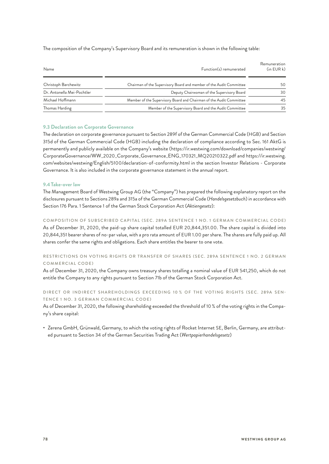<span id="page-62-0"></span>The composition of the Company's Supervisory Board and its remuneration is shown in the following table:

| Name                       | Function(s) remunerated                                             | Remuneration<br>$(in$ EUR $k)$ |
|----------------------------|---------------------------------------------------------------------|--------------------------------|
| Christoph Barchewitz       | Chairman of the Supervisory Board and member of the Audit Committee | 50                             |
| Dr. Antonella Mei-Pochtler | Deputy Chairwoman of the Supervisory Board                          | 30                             |
| Michael Hoffmann           | Member of the Supervisory Board and Chairman of the Audit Committee | 45                             |
| Thomas Harding             | Member of the Supervisory Board and the Audit Committee             | 35                             |

#### **9.3 Declaration on Corporate Governance**

The declaration on corporate governance pursuant to Section 289f of the German Commercial Code (HGB) and Section 315d of the German Commercial Code (HGB) including the declaration of compliance according to Sec. 161 AktG is permanently and publicly available on the Company's website (https://ir.westwing.com/download/companies/westwing/ CorporateGovernance/WW\_2020\_Corporate\_Governance\_ENG\_170321\_MQ20210322.pdf and https://ir.westwing. com/websites/westwing/English/5100/declaration-of-conformity.html in the section Investor Relations - Corporate Governance. It is also included in the corporate governance statement in the annual report.

#### **9.4Take-over law**

The Management Board of Westwing Group AG (the "Company") has prepared the following explanatory report on the disclosures pursuant to Sections 289a and 315a of the German Commercial Code (*Handelsgesetzbuch*) in accordance with Section 176 Para. 1 Sentence 1 of the German Stock Corporation Act (*Aktiengesetz*):

COMPOSITION OF SUBSCRIBED CAPITAL (SEC. 289A SENTENCE 1 NO. 1 GERMAN COMMERCIAL CODE) As of December 31, 2020, the paid-up share capital totalled EUR 20,844,351.00. The share capital is divided into 20,844,351 bearer shares of no-par value, with a pro rata amount of EUR 1.00 per share. The shares are fully paid up. All shares confer the same rights and obligations. Each share entitles the bearer to one vote.

#### RESTRICTIONS ON VOTING RIGHTS OR TRANSFER OF SHARES (SEC. 289A SENTENCE 1 NO. 2 GERMAN COMMERCIAL CODE)

As of December 31, 2020, the Company owns treasury shares totalling a nominal value of EUR 541,250, which do not entitle the Company to any rights pursuant to Section 71b of the German Stock Corporation Act.

#### DIRECT OR INDIRECT SHAREHOLDINGS EXCEEDING 10 % OF THE VOTING RIGHTS (SEC. 289A SEN-TENCE 1 NO. 3 GERMAN COMMERCIAL CODE)

As of December 31, 2020, the following shareholding exceeded the threshold of 10 % of the voting rights in the Company's share capital:

• Zerena GmbH, Grünwald, Germany, to which the voting rights of Rocket Internet SE, Berlin, Germany, are attributed pursuant to Section 34 of the German Securities Trading Act (*Wertpapierhandelsgesetz*)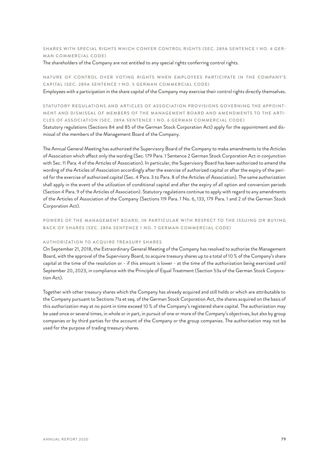#### SHARES WITH SPECIAL RIGHTS WHICH CONFER CONTROL RIGHTS (SEC. 289A SENTENCE 1 NO. 4 GER-MAN COMMERCIAL CODE)

The shareholders of the Company are not entitled to any special rights conferring control rights.

#### NATURE OF CONTROL OVER VOTING RIGHTS WHEN EMPLOYEES PARTICIPATE IN THE COMPANY'S CAPITAL (SEC. 289A SENTENCE 1 NO. 5 GERMAN COMMERCIAL CODE)

Employees with a participation in the share capital of the Company may exercise their control rights directly themselves.

#### STATUTORY REGULATIONS AND ARTICLES OF ASSOCIATION PROVISIONS GOVERNING THE APPOINT-MENT AND DISMISSAL OF MEMBERS OF THE MANAGEMENT BOARD AND AMENDMENTS TO THE ARTI-CLES OF ASSOCIATION (SEC. 289A SENTENCE 1 NO. 6 GERMAN COMMERCIAL CODE)

Statutory regulations (Sections 84 and 85 of the German Stock Corporation Act) apply for the appointment and dismissal of the members of the Management Board of the Company.

The Annual General Meeting has authorized the Supervisory Board of the Company to make amendments to the Articles of Association which affect only the wording (Sec. 179 Para. 1 Sentence 2 German Stock Corporation Act in conjunction with Sec. 11 Para. 4 of the Articles of Association). In particular, the Supervisory Board has been authorized to amend the wording of the Articles of Association accordingly after the exercise of authorized capital or after the expiry of the period for the exercise of authorized capital (Sec. 4 Para. 3 to Para. 8 of the Articles of Association). The same authorization shall apply in the event of the utilization of conditional capital and after the expiry of all option and conversion periods (Section 4 Para. 9 of the Articles of Association). Statutory regulations continue to apply with regard to any amendments of the Articles of Association of the Company (Sections 119 Para. 1 No. 6, 133, 179 Para. 1 and 2 of the German Stock Corporation Act).

POWERS OF THE MANAGEMENT BOARD, IN PARTICULAR WITH RESPECT TO THE ISSUING OR BUYING BACK OF SHARES (SEC. 289A SENTENCE 1 NO. 7 GERMAN COMMERCIAL CODE)

#### AUTHORIZATION TO ACQUIRE TREASURY SHARES

On September 21, 2018, the Extraordinary General Meeting of the Company has resolved to authorize the Management Board, with the approval of the Supervisory Board, to acquire treasury shares up to a total of 10 % of the Company's share capital at the time of the resolution or - if this amount is lower - at the time of the authorization being exercised until September 20, 2023, in compliance with the Principle of Equal Treatment (Section 53a of the German Stock Corporation Act).

Together with other treasury shares which the Company has already acquired and still holds or which are attributable to the Company pursuant to Sections 71a et seq. of the German Stock Corporation Act, the shares acquired on the basis of this authorization may at no point in time exceed 10 % of the Company's registered share capital. The authorization may be used once or several times, in whole or in part, in pursuit of one or more of the Company's objectives, but also by group companies or by third parties for the account of the Company or the group companies. The authorization may not be used for the purpose of trading treasury shares.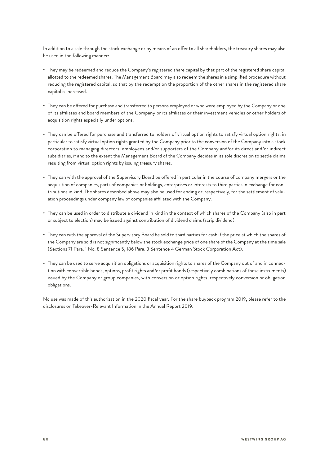In addition to a sale through the stock exchange or by means of an offer to all shareholders, the treasury shares may also be used in the following manner:

- They may be redeemed and reduce the Company's registered share capital by that part of the registered share capital allotted to the redeemed shares. The Management Board may also redeem the shares in a simplified procedure without reducing the registered capital, so that by the redemption the proportion of the other shares in the registered share capital is increased.
- They can be offered for purchase and transferred to persons employed or who were employed by the Company or one of its affiliates and board members of the Company or its affiliates or their investment vehicles or other holders of acquisition rights especially under options.
- They can be offered for purchase and transferred to holders of virtual option rights to satisfy virtual option rights; in particular to satisfy virtual option rights granted by the Company prior to the conversion of the Company into a stock corporation to managing directors, employees and/or supporters of the Company and/or its direct and/or indirect subsidiaries, if and to the extent the Management Board of the Company decides in its sole discretion to settle claims resulting from virtual option rights by issuing treasury shares.
- They can with the approval of the Supervisory Board be offered in particular in the course of company mergers or the acquisition of companies, parts of companies or holdings, enterprises or interests to third parties in exchange for contributions in kind. The shares described above may also be used for ending or, respectively, for the settlement of valuation proceedings under company law of companies affiliated with the Company.
- They can be used in order to distribute a dividend in kind in the context of which shares of the Company (also in part or subject to election) may be issued against contribution of dividend claims (scrip dividend).
- They can with the approval of the Supervisory Board be sold to third parties for cash if the price at which the shares of the Company are sold is not significantly below the stock exchange price of one share of the Company at the time sale (Sections 71 Para. 1 No. 8 Sentence 5, 186 Para. 3 Sentence 4 German Stock Corporation Act).
- They can be used to serve acquisition obligations or acquisition rights to shares of the Company out of and in connection with convertible bonds, options, profit rights and/or profit bonds (respectively combinations of these instruments) issued by the Company or group companies, with conversion or option rights, respectively conversion or obligation obligations.

No use was made of this authorization in the 2020 fiscal year. For the share buyback program 2019, please refer to the disclosures on Takeover-Relevant Information in the Annual Report 2019.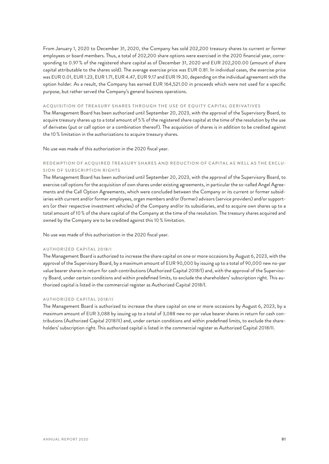From January 1, 2020 to December 31, 2020, the Company has sold 202,200 treasury shares to current or former employees or board members. Thus, a total of 202,200 share options were exercised in the 2020 financial year, corresponding to 0.97 % of the registered share capital as of December 31, 2020 and EUR 202,200.00 (amount of share capital attributable to the shares sold). The average exercise price was EUR 0.81. In individual cases, the exercise price was EUR 0.01, EUR 1.23, EUR 1.71, EUR 4.47, EUR 9.17 and EUR 19.30, depending on the individual agreement with the option holder. As a result, the Company has earned EUR 164,521.00 in proceeds which were not used for a specific purpose, but rather served the Company's general business operations.

#### ACQUISITION OF TREASURY SHARES THROUGH THE USE OF EQUITY CAPITAL DERIVATIVES

The Management Board has been authorized until September 20, 2023, with the approval of the Supervisory Board, to acquire treasury shares up to a total amount of 5 % of the registered share capital at the time of the resolution by the use of derivates (put or call option or a combination thereof). The acquisition of shares is in addition to be credited against the 10 % limitation in the authorizations to acquire treasury shares.

No use was made of this authorization in the 2020 fiscal year.

#### REDEMPTION OF ACQUIRED TREASURY SHARES AND REDUCTION OF CAPITAL AS WELL AS THE EXCLU-SION OF SUBSCRIPTION RIGHTS

The Management Board has been authorized until September 20, 2023, with the approval of the Supervisory Board, to exercise call options for the acquisition of own shares under existing agreements, in particular the so-called Angel Agreements and the Call Option Agreements, which were concluded between the Company or its current or former subsidiaries with current and/or former employees, organ members and/or (former) advisors (service providers) and/or supporters (or their respective investment vehicles) of the Company and/or its subsidiaries, and to acquire own shares up to a total amount of 10 % of the share capital of the Company at the time of the resolution. The treasury shares acquired and owned by the Company are to be credited against this 10 % limitation.

No use was made of this authorization in the 2020 fiscal year.

#### AUTHORIZED CAPITAL 2018/I

The Management Board is authorized to increase the share capital on one or more occasions by August 6, 2023, with the approval of the Supervisory Board, by a maximum amount of EUR 90,000 by issuing up to a total of 90,000 new no-par value bearer shares in return for cash contributions (Authorized Capital 2018/I) and, with the approval of the Supervisory Board, under certain conditions and within predefined limits, to exclude the shareholders' subscription right. This authorized capital is listed in the commercial register as Authorized Capital 2018/I.

#### AUTHORIZED CAPITAL 2018/II

The Management Board is authorized to increase the share capital on one or more occasions by August 6, 2023, by a maximum amount of EUR 3,088 by issuing up to a total of 3,088 new no-par value bearer shares in return for cash contributions (Authorized Capital 2018/II) and, under certain conditions and within predefined limits, to exclude the shareholders' subscription right. This authorized capital is listed in the commercial register as Authorized Capital 2018/II.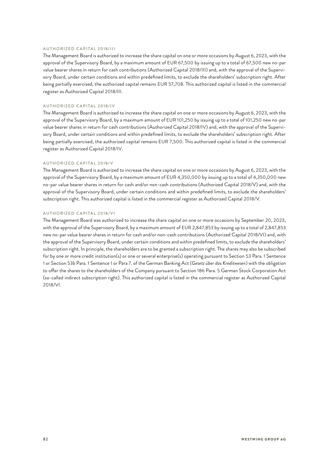#### AUTHORIZED CAPITAL 2018/III

The Management Board is authorized to increase the share capital on one or more occasions by August 6, 2023, with the approval of the Supervisory Board, by a maximum amount of EUR 67,500 by issuing up to a total of 67,500 new no-par value bearer shares in return for cash contributions (Authorized Capital 2018/III) and, with the approval of the Supervisory Board, under certain conditions and within predefined limits, to exclude the shareholders' subscription right. After being partially exercised, the authorized capital remains EUR 57,708. This authorized capital is listed in the commercial register as Authorized Capital 2018/III.

#### AUTHORIZED CAPITAL 2018/IV

The Management Board is authorized to increase the share capital on one or more occasions by August 6, 2023, with the approval of the Supervisory Board, by a maximum amount of EUR 101,250 by issuing up to a total of 101,250 new no-par value bearer shares in return for cash contributions (Authorized Capital 2018/IV) and, with the approval of the Supervisory Board, under certain conditions and within predefined limits, to exclude the shareholders' subscription right. After being partially exercised, the authorized capital remains EUR 7,500. This authorized capital is listed in the commercial register as Authorized Capital 2018/IV.

#### AUTHORIZED CAPITAL 2018/V

The Management Board is authorized to increase the share capital on one or more occasions by August 6, 2023, with the approval of the Supervisory Board, by a maximum amount of EUR 4,350,000 by issuing up to a total of 4,350,000 new no-par value bearer shares in return for cash and/or non-cash contributions (Authorized Capital 2018/V) and, with the approval of the Supervisory Board, under certain conditions and within predefined limits, to exclude the shareholders' subscription right. This authorized capital is listed in the commercial register as Authorized Capital 2018/V.

#### AUTHORIZED CAPITAL 2018/VI

The Management Board was authorized to increase the share capital on one or more occasions by September 20, 2023, with the approval of the Supervisory Board, by a maximum amount of EUR 2,847,853 by issuing up to a total of 2,847,853 new no-par value bearer shares in return for cash and/or non-cash contributions (Authorized Capital 2018/VI) and, with the approval of the Supervisory Board, under certain conditions and within predefined limits, to exclude the shareholders' subscription right. In principle, the shareholders are to be granted a subscription right. The shares may also be subscribed for by one or more credit institution(s) or one or several enterprise(s) operating pursuant to Section 53 Para. 1 Sentence 1 or Section 53b Para. 1 Sentence 1 or Para 7. of the German Banking Act (*Gesetz über das Kreditwesen*) with the obligation to offer the shares to the shareholders of the Company pursuant to Section 186 Para. 5 German Stock Corporation Act (so-called indirect subscription right). This authorized capital is listed in the commercial register as Authorized Capital 2018/VI.